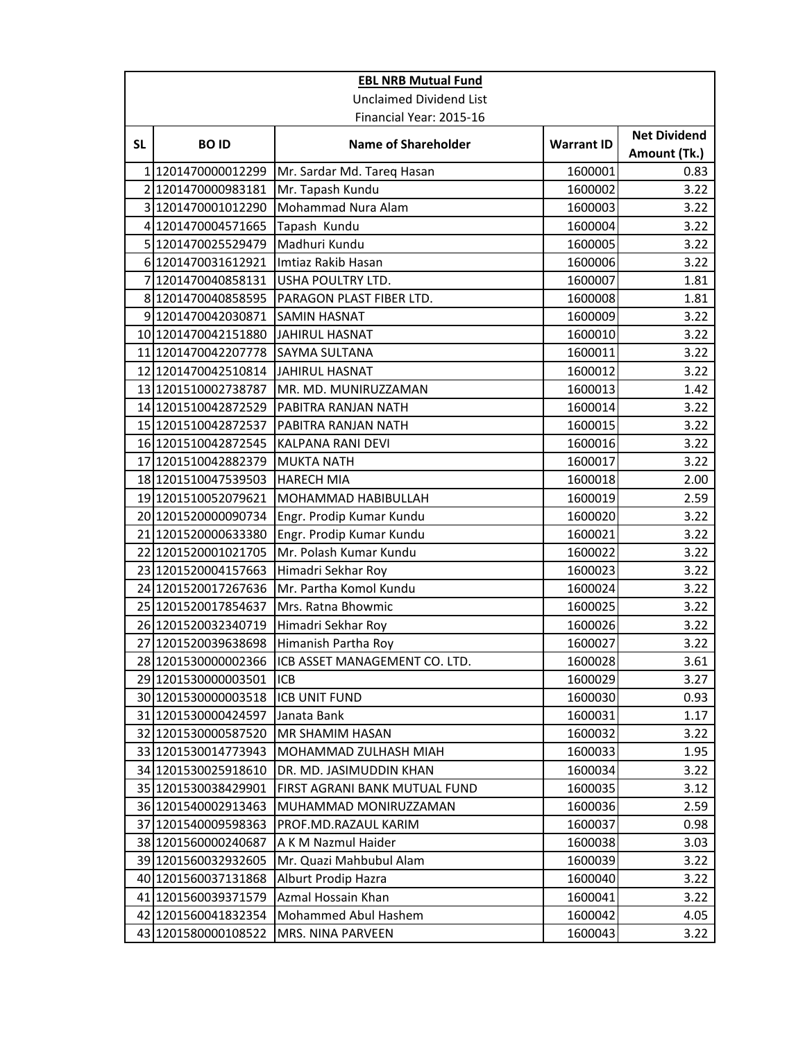| <b>EBL NRB Mutual Fund</b>     |                         |                               |                   |                                     |  |
|--------------------------------|-------------------------|-------------------------------|-------------------|-------------------------------------|--|
| <b>Unclaimed Dividend List</b> |                         |                               |                   |                                     |  |
|                                | Financial Year: 2015-16 |                               |                   |                                     |  |
| <b>SL</b>                      | <b>BOID</b>             | <b>Name of Shareholder</b>    | <b>Warrant ID</b> | <b>Net Dividend</b><br>Amount (Tk.) |  |
|                                | 1 1201470000012299      | Mr. Sardar Md. Tareq Hasan    | 1600001           | 0.83                                |  |
|                                | 2 1201470000983181      | Mr. Tapash Kundu              | 1600002           | 3.22                                |  |
|                                | 3 1201470001012290      | Mohammad Nura Alam            | 1600003           | 3.22                                |  |
|                                | 4 1201470004571665      | Tapash Kundu                  | 1600004           | 3.22                                |  |
|                                | 5 1201470025529479      | Madhuri Kundu                 | 1600005           | 3.22                                |  |
|                                | 6 1201470031612921      | Imtiaz Rakib Hasan            | 1600006           | 3.22                                |  |
| 7                              | 1201470040858131        | USHA POULTRY LTD.             | 1600007           | 1.81                                |  |
|                                | 8 1201470040858595      | PARAGON PLAST FIBER LTD.      | 1600008           | 1.81                                |  |
|                                | 9 1201470042030871      | SAMIN HASNAT                  | 1600009           | 3.22                                |  |
|                                | 10 1201470042151880     | JAHIRUL HASNAT                | 1600010           | 3.22                                |  |
|                                | 11 1201470042207778     | SAYMA SULTANA                 | 1600011           | 3.22                                |  |
|                                | 12 1201470042510814     | <b>JAHIRUL HASNAT</b>         | 1600012           | 3.22                                |  |
|                                | 13 1201510002738787     | MR. MD. MUNIRUZZAMAN          | 1600013           | 1.42                                |  |
|                                | 14 1201510042872529     | PABITRA RANJAN NATH           | 1600014           | 3.22                                |  |
|                                | 15 1201510042872537     | PABITRA RANJAN NATH           | 1600015           | 3.22                                |  |
|                                | 16 1201510042872545     | KALPANA RANI DEVI             | 1600016           | 3.22                                |  |
|                                | 17 1201510042882379     | <b>MUKTA NATH</b>             | 1600017           | 3.22                                |  |
|                                | 18 1201510047539503     | <b>HARECH MIA</b>             | 1600018           | 2.00                                |  |
|                                | 19 1201510052079621     | MOHAMMAD HABIBULLAH           | 1600019           | 2.59                                |  |
|                                | 20 1201520000090734     | Engr. Prodip Kumar Kundu      | 1600020           | 3.22                                |  |
|                                | 21 1201520000633380     | Engr. Prodip Kumar Kundu      | 1600021           | 3.22                                |  |
|                                | 22 1201520001021705     | Mr. Polash Kumar Kundu        | 1600022           | 3.22                                |  |
|                                | 23 1201520004157663     | Himadri Sekhar Roy            | 1600023           | 3.22                                |  |
|                                | 24 1201520017267636     | Mr. Partha Komol Kundu        | 1600024           | 3.22                                |  |
|                                | 25 1201520017854637     | Mrs. Ratna Bhowmic            | 1600025           | 3.22                                |  |
|                                | 26 1201520032340719     | Himadri Sekhar Roy            | 1600026           | 3.22                                |  |
|                                | 27 1201520039638698     | Himanish Partha Roy           | 1600027           | 3.22                                |  |
|                                | 28 1201530000002366     | ICB ASSET MANAGEMENT CO. LTD. | 1600028           | 3.61                                |  |
|                                | 29 1201530000003501     | ICB                           | 1600029           | 3.27                                |  |
|                                | 30 1201530000003518     | <b>ICB UNIT FUND</b>          | 1600030           | 0.93                                |  |
|                                | 31 1201530000424597     | Janata Bank                   | 1600031           | 1.17                                |  |
|                                | 32 1201530000587520     | MR SHAMIM HASAN               | 1600032           | 3.22                                |  |
|                                | 33 1201530014773943     | MOHAMMAD ZULHASH MIAH         | 1600033           | 1.95                                |  |
|                                | 34 1201530025918610     | DR. MD. JASIMUDDIN KHAN       | 1600034           | 3.22                                |  |
|                                | 35 1201530038429901     | FIRST AGRANI BANK MUTUAL FUND | 1600035           | 3.12                                |  |
|                                | 36 1201540002913463     | MUHAMMAD MONIRUZZAMAN         | 1600036           | 2.59                                |  |
|                                | 37 1201540009598363     | PROF.MD.RAZAUL KARIM          | 1600037           | 0.98                                |  |
|                                | 38 1201560000240687     | A K M Nazmul Haider           | 1600038           | 3.03                                |  |
|                                | 39 1201560032932605     | Mr. Quazi Mahbubul Alam       | 1600039           | 3.22                                |  |
|                                | 40 1201560037131868     | Alburt Prodip Hazra           | 1600040           | 3.22                                |  |
|                                | 41 1201560039371579     | Azmal Hossain Khan            | 1600041           | 3.22                                |  |
|                                | 42 1201560041832354     | Mohammed Abul Hashem          | 1600042           | 4.05                                |  |
|                                | 43 1201580000108522     | MRS. NINA PARVEEN             | 1600043           | 3.22                                |  |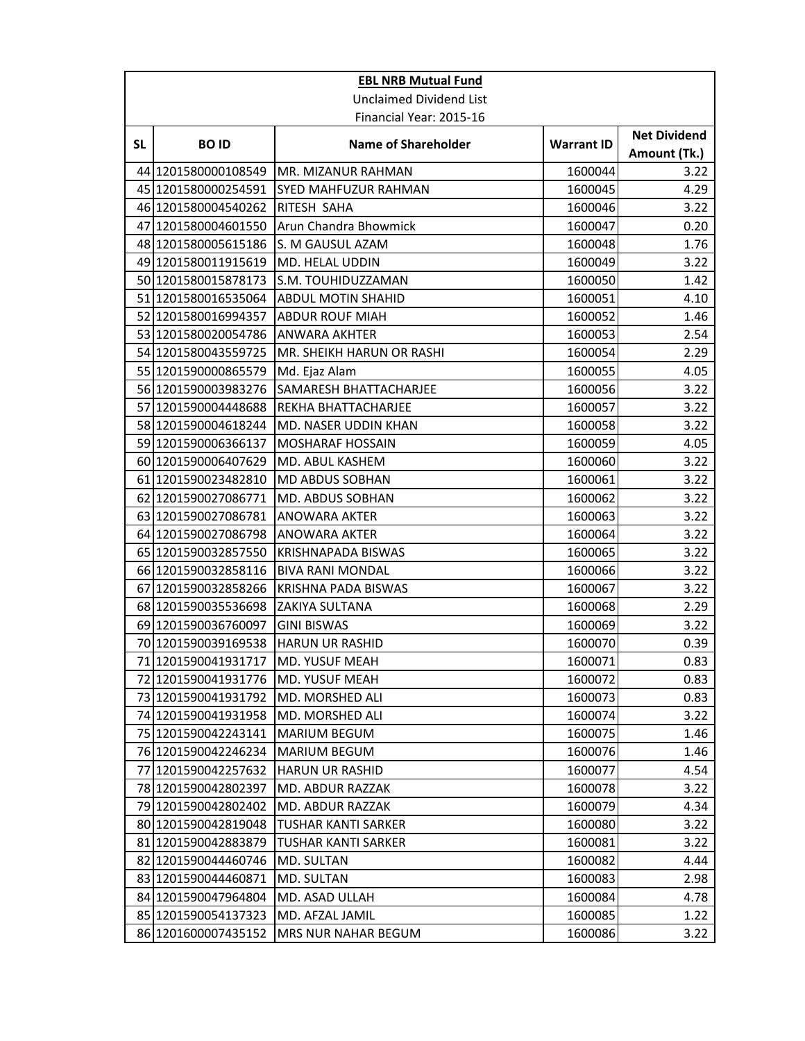| <b>EBL NRB Mutual Fund</b> |                                    |                                |                   |                                     |  |
|----------------------------|------------------------------------|--------------------------------|-------------------|-------------------------------------|--|
|                            |                                    | <b>Unclaimed Dividend List</b> |                   |                                     |  |
|                            | Financial Year: 2015-16            |                                |                   |                                     |  |
| <b>SL</b>                  | <b>BOID</b>                        | <b>Name of Shareholder</b>     | <b>Warrant ID</b> | <b>Net Dividend</b><br>Amount (Tk.) |  |
|                            | 44 1201580000108549                | MR. MIZANUR RAHMAN             | 1600044           | 3.22                                |  |
|                            | 45 1201580000254591                | <b>SYED MAHFUZUR RAHMAN</b>    | 1600045           | 4.29                                |  |
|                            | 46 1201580004540262                | RITESH SAHA                    | 1600046           | 3.22                                |  |
| 47                         | 1201580004601550                   | Arun Chandra Bhowmick          | 1600047           | 0.20                                |  |
|                            | 48 1201580005615186                | S. M GAUSUL AZAM               | 1600048           | 1.76                                |  |
|                            | 49 1201580011915619                | MD. HELAL UDDIN                | 1600049           | 3.22                                |  |
|                            | 50 1201580015878173                | S.M. TOUHIDUZZAMAN             | 1600050           | 1.42                                |  |
|                            | 51 1201580016535064                | <b>ABDUL MOTIN SHAHID</b>      | 1600051           | 4.10                                |  |
|                            | 52 1201580016994357                | <b>ABDUR ROUF MIAH</b>         | 1600052           | 1.46                                |  |
|                            | 53 1201580020054786                | ANWARA AKHTER                  | 1600053           | 2.54                                |  |
|                            | 54 1201580043559725                | MR. SHEIKH HARUN OR RASHI      | 1600054           | 2.29                                |  |
|                            | 55 1201590000865579                | Md. Ejaz Alam                  | 1600055           | 4.05                                |  |
|                            | 56 1201590003983276                | SAMARESH BHATTACHARJEE         | 1600056           | 3.22                                |  |
| 57                         | 1201590004448688                   | REKHA BHATTACHARJEE            | 1600057           | 3.22                                |  |
|                            | 58 1201590004618244                | MD. NASER UDDIN KHAN           | 1600058           | 3.22                                |  |
|                            | 59 1201590006366137                | <b>MOSHARAF HOSSAIN</b>        | 1600059           | 4.05                                |  |
|                            | 60 1201590006407629                | MD. ABUL KASHEM                | 1600060           | 3.22                                |  |
|                            | 61 1201590023482810                | MD ABDUS SOBHAN                | 1600061           | 3.22                                |  |
|                            | 62 1201590027086771                | MD. ABDUS SOBHAN               | 1600062           | 3.22                                |  |
|                            | 63 1201590027086781                | ANOWARA AKTER                  | 1600063           | 3.22                                |  |
|                            | 64 1201590027086798                | <b>ANOWARA AKTER</b>           | 1600064           | 3.22                                |  |
|                            | 65 1201590032857550                | <b>KRISHNAPADA BISWAS</b>      | 1600065           | 3.22                                |  |
|                            | 66 1201590032858116                | <b>BIVA RANI MONDAL</b>        | 1600066           | 3.22                                |  |
| 67                         | 1201590032858266                   | <b>KRISHNA PADA BISWAS</b>     | 1600067           | 3.22                                |  |
|                            | 68 1201590035536698                | <b>ZAKIYA SULTANA</b>          | 1600068           | 2.29                                |  |
|                            | 69 1201590036760097                | <b>GINI BISWAS</b>             | 1600069           | 3.22                                |  |
|                            | 70 1201590039169538                | <b>HARUN UR RASHID</b>         | 1600070           | 0.39                                |  |
|                            | 71 1201590041931717 MD. YUSUF MEAH |                                | 1600071           | 0.83                                |  |
|                            | 72 1201590041931776                | MD. YUSUF MEAH                 | 1600072           | 0.83                                |  |
|                            | 73 1201590041931792                | MD. MORSHED ALI                | 1600073           | 0.83                                |  |
|                            | 74 1201590041931958                | MD. MORSHED ALI                | 1600074           | 3.22                                |  |
|                            | 75 1201590042243141                | MARIUM BEGUM                   | 1600075           | 1.46                                |  |
|                            | 76 1201590042246234                | <b>MARIUM BEGUM</b>            | 1600076           | 1.46                                |  |
|                            | 77 1201590042257632                | <b>HARUN UR RASHID</b>         | 1600077           | 4.54                                |  |
|                            | 78 1201590042802397                | <b>MD. ABDUR RAZZAK</b>        | 1600078           | 3.22                                |  |
|                            | 79 1201590042802402                | MD. ABDUR RAZZAK               | 1600079           | 4.34                                |  |
|                            | 80 1201590042819048                | <b>TUSHAR KANTI SARKER</b>     | 1600080           | 3.22                                |  |
|                            | 81 1201590042883879                | TUSHAR KANTI SARKER            | 1600081           | 3.22                                |  |
|                            | 82 1201590044460746                | MD. SULTAN                     | 1600082           | 4.44                                |  |
|                            | 83 1201590044460871                | MD. SULTAN                     | 1600083           | 2.98                                |  |
|                            | 84 1201590047964804                | MD. ASAD ULLAH                 | 1600084           | 4.78                                |  |
|                            | 85 1201590054137323                | MD. AFZAL JAMIL                | 1600085           | 1.22                                |  |
|                            | 86 1201600007435152                | MRS NUR NAHAR BEGUM            | 1600086           | 3.22                                |  |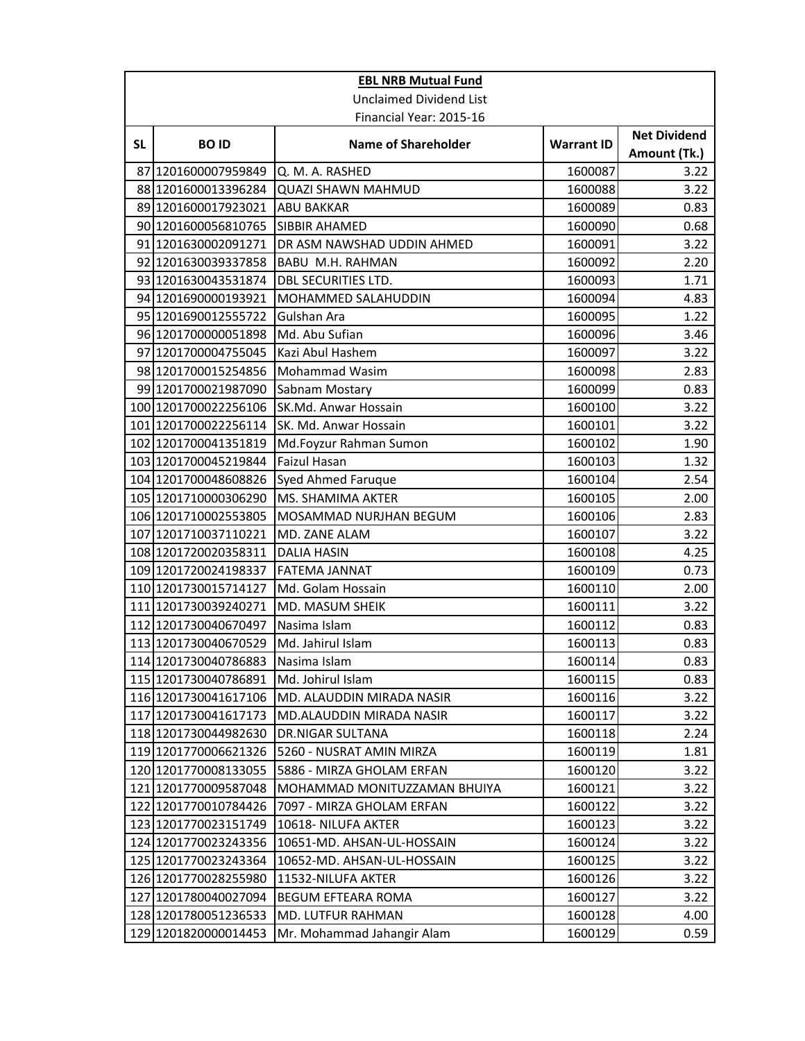| <b>EBL NRB Mutual Fund</b> |                                |                              |                   |                                     |  |
|----------------------------|--------------------------------|------------------------------|-------------------|-------------------------------------|--|
|                            | <b>Unclaimed Dividend List</b> |                              |                   |                                     |  |
|                            | Financial Year: 2015-16        |                              |                   |                                     |  |
| <b>SL</b>                  | <b>BOID</b>                    | <b>Name of Shareholder</b>   | <b>Warrant ID</b> | <b>Net Dividend</b><br>Amount (Tk.) |  |
| 87                         | 1201600007959849               | Q. M. A. RASHED              | 1600087           | 3.22                                |  |
|                            | 88 1201600013396284            | <b>QUAZI SHAWN MAHMUD</b>    | 1600088           | 3.22                                |  |
|                            | 89 1201600017923021            | <b>ABU BAKKAR</b>            | 1600089           | 0.83                                |  |
|                            | 90 1201600056810765            | <b>SIBBIR AHAMED</b>         | 1600090           | 0.68                                |  |
|                            | 91 1201630002091271            | DR ASM NAWSHAD UDDIN AHMED   | 1600091           | 3.22                                |  |
|                            | 92 1201630039337858            | BABU M.H. RAHMAN             | 1600092           | 2.20                                |  |
|                            | 93 1201630043531874            | <b>DBL SECURITIES LTD.</b>   | 1600093           | 1.71                                |  |
|                            | 94 1201690000193921            | MOHAMMED SALAHUDDIN          | 1600094           | 4.83                                |  |
|                            | 95 1201690012555722            | Gulshan Ara                  | 1600095           | 1.22                                |  |
|                            | 96 1201700000051898            | Md. Abu Sufian               | 1600096           | 3.46                                |  |
| 97                         | 1201700004755045               | Kazi Abul Hashem             | 1600097           | 3.22                                |  |
|                            | 98 1201700015254856            | Mohammad Wasim               | 1600098           | 2.83                                |  |
|                            | 99 1201700021987090            | Sabnam Mostary               | 1600099           | 0.83                                |  |
|                            | 100 1201700022256106           | SK.Md. Anwar Hossain         | 1600100           | 3.22                                |  |
|                            | 101 1201700022256114           | SK. Md. Anwar Hossain        | 1600101           | 3.22                                |  |
|                            | 102 1201700041351819           | Md.Foyzur Rahman Sumon       | 1600102           | 1.90                                |  |
|                            | 103 1201700045219844           | <b>Faizul Hasan</b>          | 1600103           | 1.32                                |  |
|                            | 104 1201700048608826           | Syed Ahmed Faruque           | 1600104           | 2.54                                |  |
|                            | 105 1201710000306290           | MS. SHAMIMA AKTER            | 1600105           | 2.00                                |  |
|                            | 106 1201710002553805           | MOSAMMAD NURJHAN BEGUM       | 1600106           | 2.83                                |  |
|                            | 107 1201710037110221           | MD. ZANE ALAM                | 1600107           | 3.22                                |  |
|                            | 108 1201720020358311           | <b>DALIA HASIN</b>           | 1600108           | 4.25                                |  |
|                            | 109 1201720024198337           | <b>FATEMA JANNAT</b>         | 1600109           | 0.73                                |  |
|                            | 110 1201730015714127           | Md. Golam Hossain            | 1600110           | 2.00                                |  |
|                            | 111 1201730039240271           | MD. MASUM SHEIK              | 1600111           | 3.22                                |  |
|                            | 112 1201730040670497           | Nasima Islam                 | 1600112           | 0.83                                |  |
|                            | 113 1201730040670529           | Md. Jahirul Islam            | 1600113           | 0.83                                |  |
|                            | 114 1201730040786883           | Nasima Islam                 | 1600114           | 0.83                                |  |
|                            | 115 1201730040786891           | Md. Johirul Islam            | 1600115           | 0.83                                |  |
|                            | 116 1201730041617106           | MD. ALAUDDIN MIRADA NASIR    | 1600116           | 3.22                                |  |
|                            | 117 1201730041617173           | MD.ALAUDDIN MIRADA NASIR     | 1600117           | 3.22                                |  |
|                            | 118 1201730044982630           | <b>DR.NIGAR SULTANA</b>      | 1600118           | 2.24                                |  |
|                            | 119 1201770006621326           | 5260 - NUSRAT AMIN MIRZA     | 1600119           | 1.81                                |  |
|                            | 120 1201770008133055           | 5886 - MIRZA GHOLAM ERFAN    | 1600120           | 3.22                                |  |
|                            | 121 1201770009587048           | MOHAMMAD MONITUZZAMAN BHUIYA | 1600121           | 3.22                                |  |
|                            | 122 1201770010784426           | 7097 - MIRZA GHOLAM ERFAN    | 1600122           | 3.22                                |  |
|                            | 123 1201770023151749           | 10618-NILUFA AKTER           | 1600123           | 3.22                                |  |
|                            | 124 1201770023243356           | 10651-MD. AHSAN-UL-HOSSAIN   | 1600124           | 3.22                                |  |
|                            | 125 1201770023243364           | 10652-MD. AHSAN-UL-HOSSAIN   | 1600125           | 3.22                                |  |
|                            | 126 1201770028255980           | 11532-NILUFA AKTER           | 1600126           | 3.22                                |  |
| 127                        | 1201780040027094               | BEGUM EFTEARA ROMA           | 1600127           | 3.22                                |  |
|                            | 128 1201780051236533           | MD. LUTFUR RAHMAN            | 1600128           | 4.00                                |  |
|                            | 129 1201820000014453           | Mr. Mohammad Jahangir Alam   | 1600129           | 0.59                                |  |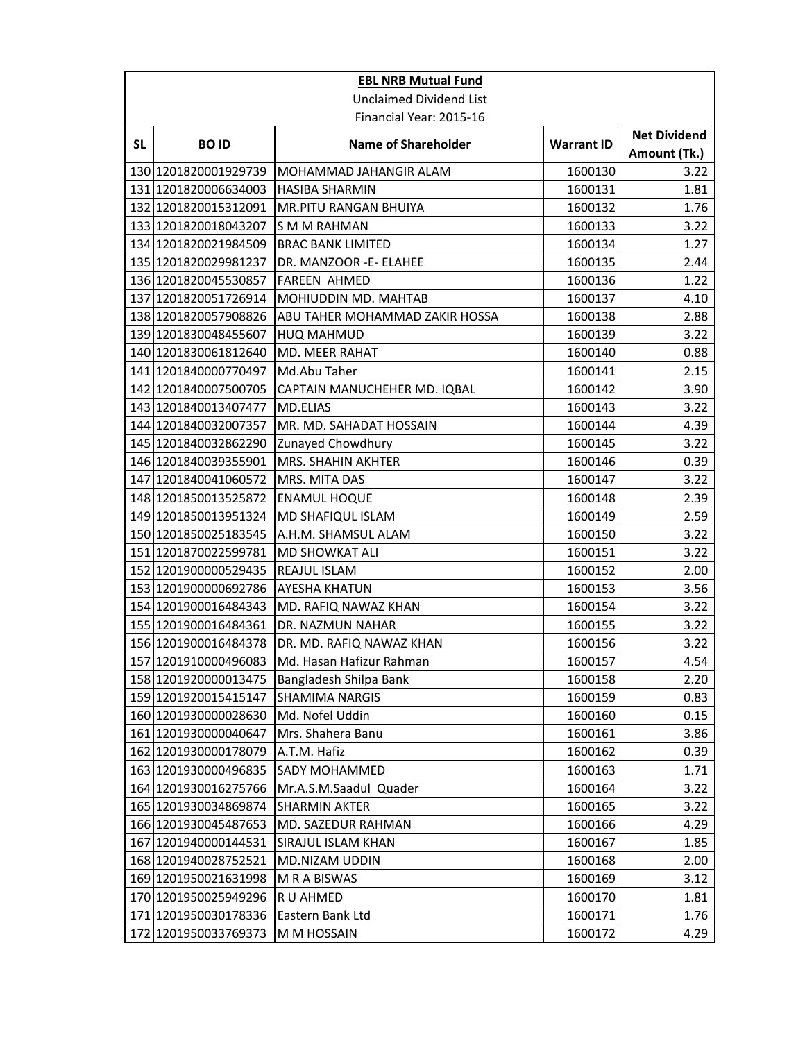| <b>EBL NRB Mutual Fund</b> |                         |                                |                   |                                     |  |
|----------------------------|-------------------------|--------------------------------|-------------------|-------------------------------------|--|
|                            |                         | <b>Unclaimed Dividend List</b> |                   |                                     |  |
|                            | Financial Year: 2015-16 |                                |                   |                                     |  |
| <b>SL</b>                  | <b>BOID</b>             | <b>Name of Shareholder</b>     | <b>Warrant ID</b> | <b>Net Dividend</b><br>Amount (Tk.) |  |
|                            | 130 1201820001929739    | MOHAMMAD JAHANGIR ALAM         | 1600130           | 3.22                                |  |
|                            | 131 1201820006634003    | <b>HASIBA SHARMIN</b>          | 1600131           | 1.81                                |  |
|                            | 132 1201820015312091    | MR.PITU RANGAN BHUIYA          | 1600132           | 1.76                                |  |
|                            | 133 1201820018043207    | <b>SMM RAHMAN</b>              | 1600133           | 3.22                                |  |
|                            | 134 1201820021984509    | <b>BRAC BANK LIMITED</b>       | 1600134           | 1.27                                |  |
|                            | 135 1201820029981237    | DR. MANZOOR -E- ELAHEE         | 1600135           | 2.44                                |  |
|                            | 136 1201820045530857    | <b>FAREEN AHMED</b>            | 1600136           | 1.22                                |  |
|                            | 137 1201820051726914    | MOHIUDDIN MD. MAHTAB           | 1600137           | 4.10                                |  |
|                            | 138 1201820057908826    | ABU TAHER MOHAMMAD ZAKIR HOSSA | 1600138           | 2.88                                |  |
|                            | 139 1201830048455607    | <b>HUQ MAHMUD</b>              | 1600139           | 3.22                                |  |
|                            | 140 1201830061812640    | MD. MEER RAHAT                 | 1600140           | 0.88                                |  |
|                            | 141 1201840000770497    | Md.Abu Taher                   | 1600141           | 2.15                                |  |
|                            | 142 1201840007500705    | CAPTAIN MANUCHEHER MD. IQBAL   | 1600142           | 3.90                                |  |
|                            | 143 1201840013407477    | <b>MD.ELIAS</b>                | 1600143           | 3.22                                |  |
|                            | 144 1201840032007357    | MR. MD. SAHADAT HOSSAIN        | 1600144           | 4.39                                |  |
|                            | 145 1201840032862290    | Zunayed Chowdhury              | 1600145           | 3.22                                |  |
|                            | 146 1201840039355901    | MRS. SHAHIN AKHTER             | 1600146           | 0.39                                |  |
|                            | 147 1201840041060572    | MRS. MITA DAS                  | 1600147           | 3.22                                |  |
|                            | 148 1201850013525872    | <b>ENAMUL HOQUE</b>            | 1600148           | 2.39                                |  |
|                            | 149 1201850013951324    | MD SHAFIQUL ISLAM              | 1600149           | 2.59                                |  |
|                            | 150 1201850025183545    | A.H.M. SHAMSUL ALAM            | 1600150           | 3.22                                |  |
|                            | 151 1201870022599781    | <b>MD SHOWKAT ALI</b>          | 1600151           | 3.22                                |  |
|                            | 152 1201900000529435    | REAJUL ISLAM                   | 1600152           | 2.00                                |  |
|                            | 153 1201900000692786    | <b>AYESHA KHATUN</b>           | 1600153           | 3.56                                |  |
|                            | 154 1201900016484343    | MD. RAFIQ NAWAZ KHAN           | 1600154           | 3.22                                |  |
|                            | 155 1201900016484361    | DR. NAZMUN NAHAR               | 1600155           | 3.22                                |  |
|                            | 156 1201900016484378    | DR. MD. RAFIQ NAWAZ KHAN       | 1600156           | 3.22                                |  |
|                            | 157 1201910000496083    | Md. Hasan Hafizur Rahman       | 1600157           | 4.54                                |  |
|                            | 158 1201920000013475    | Bangladesh Shilpa Bank         | 1600158           | 2.20                                |  |
|                            | 159 1201920015415147    | <b>SHAMIMA NARGIS</b>          | 1600159           | 0.83                                |  |
|                            | 160 1201930000028630    | Md. Nofel Uddin                | 1600160           | 0.15                                |  |
|                            | 161 1201930000040647    | Mrs. Shahera Banu              | 1600161           | 3.86                                |  |
|                            | 162 1201930000178079    | A.T.M. Hafiz                   | 1600162           | 0.39                                |  |
|                            | 163 1201930000496835    | <b>SADY MOHAMMED</b>           | 1600163           | 1.71                                |  |
|                            | 164 1201930016275766    | Mr.A.S.M.Saadul Quader         | 1600164           | 3.22                                |  |
|                            | 165 1201930034869874    | <b>SHARMIN AKTER</b>           | 1600165           | 3.22                                |  |
|                            | 166 1201930045487653    | MD. SAZEDUR RAHMAN             | 1600166           | 4.29                                |  |
|                            | 167 1201940000144531    | SIRAJUL ISLAM KHAN             | 1600167           | 1.85                                |  |
|                            | 168 1201940028752521    | MD.NIZAM UDDIN                 | 1600168           | 2.00                                |  |
|                            | 169 1201950021631998    | M R A BISWAS                   | 1600169           | 3.12                                |  |
|                            | 170 1201950025949296    | R U AHMED                      | 1600170           | 1.81                                |  |
|                            | 171 1201950030178336    | Eastern Bank Ltd               | 1600171           | 1.76                                |  |
|                            | 172 1201950033769373    | M M HOSSAIN                    | 1600172           | 4.29                                |  |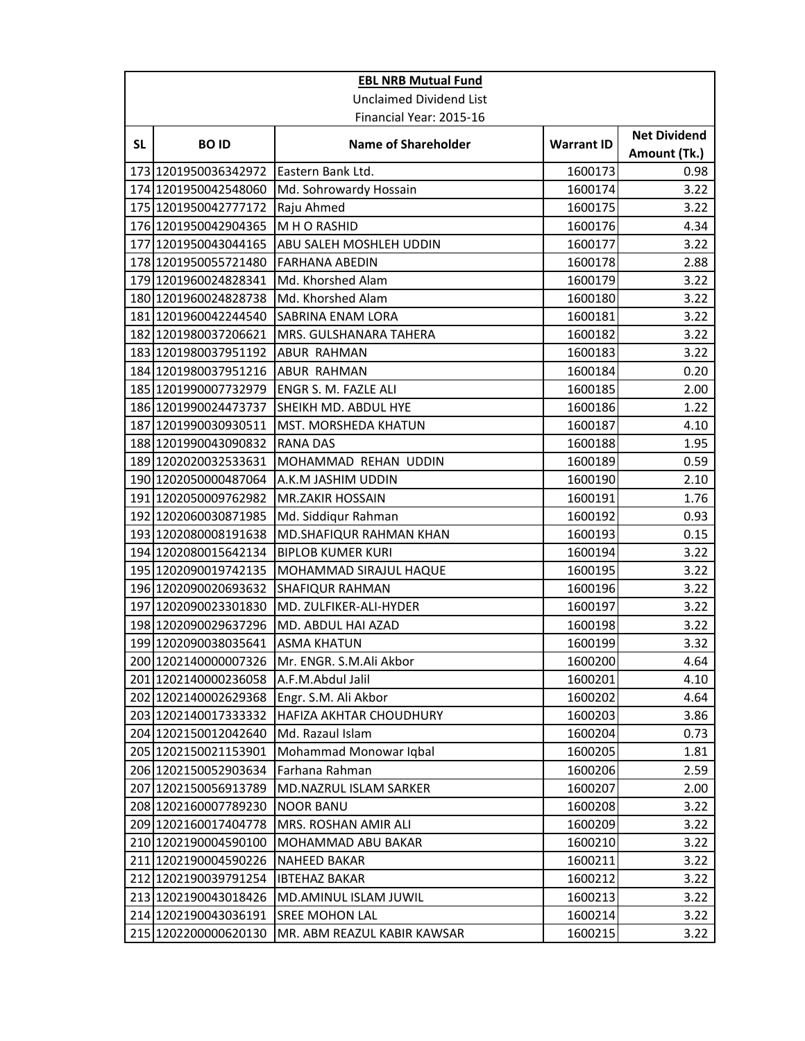|                         | <b>EBL NRB Mutual Fund</b>     |                             |                   |                     |  |
|-------------------------|--------------------------------|-----------------------------|-------------------|---------------------|--|
|                         | <b>Unclaimed Dividend List</b> |                             |                   |                     |  |
| Financial Year: 2015-16 |                                |                             |                   |                     |  |
| <b>SL</b>               | <b>BOID</b>                    | <b>Name of Shareholder</b>  | <b>Warrant ID</b> | <b>Net Dividend</b> |  |
|                         |                                |                             |                   | Amount (Tk.)        |  |
|                         | 173 1201950036342972           | Eastern Bank Ltd.           | 1600173           | 0.98                |  |
|                         | 174 1201950042548060           | Md. Sohrowardy Hossain      | 1600174           | 3.22                |  |
|                         | 175 1201950042777172           | Raju Ahmed                  | 1600175           | 3.22                |  |
|                         | 176 1201950042904365           | M H O RASHID                | 1600176           | 4.34                |  |
|                         | 177 1201950043044165           | ABU SALEH MOSHLEH UDDIN     | 1600177           | 3.22                |  |
|                         | 178 1201950055721480           | <b>FARHANA ABEDIN</b>       | 1600178           | 2.88                |  |
|                         | 179 1201960024828341           | Md. Khorshed Alam           | 1600179           | 3.22                |  |
|                         | 180 1201960024828738           | Md. Khorshed Alam           | 1600180           | 3.22                |  |
|                         | 181 1201960042244540           | SABRINA ENAM LORA           | 1600181           | 3.22                |  |
|                         | 182 1201980037206621           | MRS. GULSHANARA TAHERA      | 1600182           | 3.22                |  |
|                         | 183 1201980037951192           | ABUR RAHMAN                 | 1600183           | 3.22                |  |
|                         | 184 1201980037951216           | <b>ABUR RAHMAN</b>          | 1600184           | 0.20                |  |
|                         | 185 1201990007732979           | ENGR S. M. FAZLE ALI        | 1600185           | 2.00                |  |
|                         | 186 1201990024473737           | SHEIKH MD. ABDUL HYE        | 1600186           | 1.22                |  |
|                         | 187 1201990030930511           | MST. MORSHEDA KHATUN        | 1600187           | 4.10                |  |
|                         | 188 1201990043090832           | <b>RANA DAS</b>             | 1600188           | 1.95                |  |
|                         | 189 1202020032533631           | MOHAMMAD REHAN UDDIN        | 1600189           | 0.59                |  |
|                         | 190 1202050000487064           | A.K.M JASHIM UDDIN          | 1600190           | 2.10                |  |
|                         | 191 1202050009762982           | <b>MR.ZAKIR HOSSAIN</b>     | 1600191           | 1.76                |  |
|                         | 192 1202060030871985           | Md. Siddiqur Rahman         | 1600192           | 0.93                |  |
|                         | 193 1202080008191638           | MD.SHAFIQUR RAHMAN KHAN     | 1600193           | 0.15                |  |
|                         | 194 1202080015642134           | <b>BIPLOB KUMER KURI</b>    | 1600194           | 3.22                |  |
|                         | 195 1202090019742135           | MOHAMMAD SIRAJUL HAQUE      | 1600195           | 3.22                |  |
|                         | 196 1202090020693632           | SHAFIQUR RAHMAN             | 1600196           | 3.22                |  |
|                         | 197 1202090023301830           | MD. ZULFIKER-ALI-HYDER      | 1600197           | 3.22                |  |
|                         | 198 1202090029637296           | MD. ABDUL HAI AZAD          | 1600198           | 3.22                |  |
|                         | 199 1202090038035641           | <b>ASMA KHATUN</b>          | 1600199           | 3.32                |  |
|                         | 200 1202140000007326           | Mr. ENGR. S.M.Ali Akbor     | 1600200           | 4.64                |  |
|                         | 201 1202140000236058           | A.F.M.Abdul Jalil           | 1600201           | 4.10                |  |
|                         | 202 1202140002629368           | Engr. S.M. Ali Akbor        | 1600202           | 4.64                |  |
|                         | 203 1202140017333332           | HAFIZA AKHTAR CHOUDHURY     | 1600203           | 3.86                |  |
|                         | 204 1202150012042640           | Md. Razaul Islam            | 1600204           | 0.73                |  |
|                         | 205 1202150021153901           | Mohammad Monowar Iqbal      | 1600205           | 1.81                |  |
|                         | 206 1202150052903634           | Farhana Rahman              | 1600206           | 2.59                |  |
|                         | 207 1202150056913789           | MD.NAZRUL ISLAM SARKER      | 1600207           | 2.00                |  |
|                         | 208 1202160007789230           | <b>NOOR BANU</b>            | 1600208           | 3.22                |  |
|                         | 209 1202160017404778           | MRS. ROSHAN AMIR ALI        | 1600209           | 3.22                |  |
|                         | 210 1202190004590100           | MOHAMMAD ABU BAKAR          | 1600210           | 3.22                |  |
|                         | 211 1202190004590226           | <b>NAHEED BAKAR</b>         | 1600211           | 3.22                |  |
|                         | 212 1202190039791254           | <b>IBTEHAZ BAKAR</b>        | 1600212           | 3.22                |  |
|                         | 213 1202190043018426           | MD.AMINUL ISLAM JUWIL       | 1600213           | 3.22                |  |
|                         | 214 1202190043036191           | SREE MOHON LAL              | 1600214           | 3.22                |  |
|                         | 215 1202200000620130           | MR. ABM REAZUL KABIR KAWSAR | 1600215           | 3.22                |  |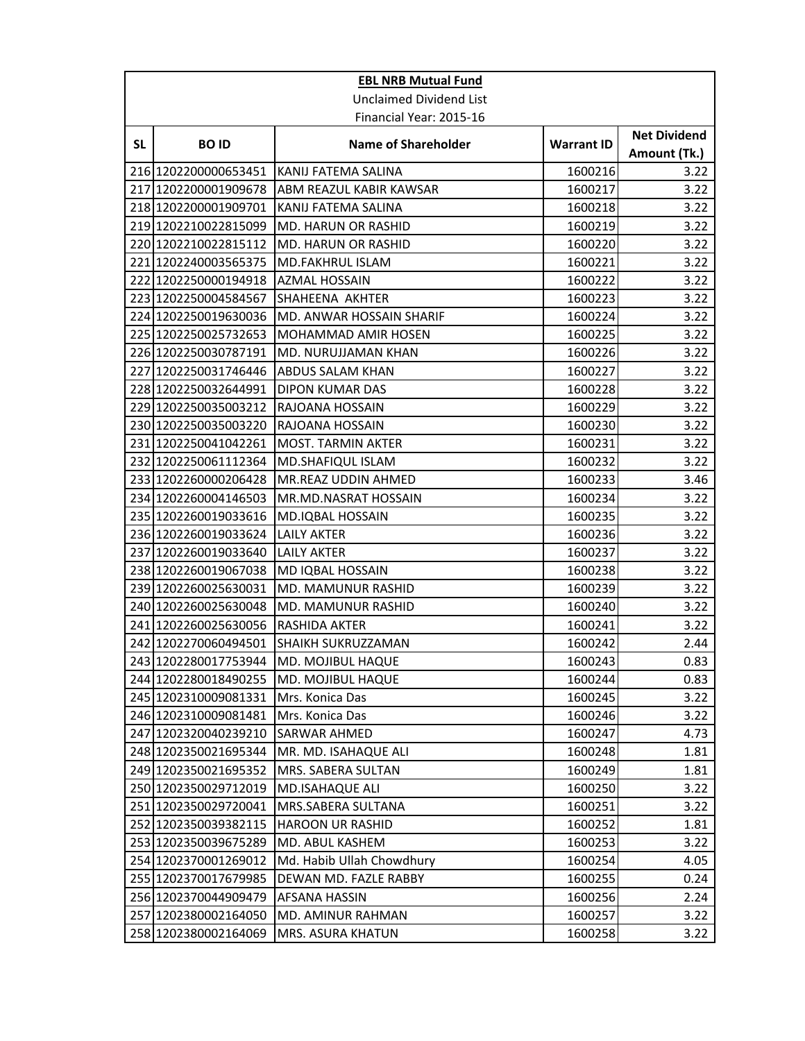| <b>EBL NRB Mutual Fund</b> |                                |                            |                   |                                     |  |
|----------------------------|--------------------------------|----------------------------|-------------------|-------------------------------------|--|
|                            | <b>Unclaimed Dividend List</b> |                            |                   |                                     |  |
|                            |                                | Financial Year: 2015-16    |                   |                                     |  |
| <b>SL</b>                  | <b>BOID</b>                    | <b>Name of Shareholder</b> | <b>Warrant ID</b> | <b>Net Dividend</b><br>Amount (Tk.) |  |
|                            | 216 1202200000653451           | KANIJ FATEMA SALINA        | 1600216           | 3.22                                |  |
|                            | 217 1202200001909678           | ABM REAZUL KABIR KAWSAR    | 1600217           | 3.22                                |  |
|                            | 218 1202200001909701           | KANIJ FATEMA SALINA        | 1600218           | 3.22                                |  |
|                            | 219 1202210022815099           | MD. HARUN OR RASHID        | 1600219           | 3.22                                |  |
|                            | 220 1202210022815112           | MD. HARUN OR RASHID        | 1600220           | 3.22                                |  |
|                            | 221 1202240003565375           | <b>MD.FAKHRUL ISLAM</b>    | 1600221           | 3.22                                |  |
|                            | 222 1202250000194918           | <b>AZMAL HOSSAIN</b>       | 1600222           | 3.22                                |  |
|                            | 223 1202250004584567           | SHAHEENA AKHTER            | 1600223           | 3.22                                |  |
|                            | 224 1202250019630036           | MD. ANWAR HOSSAIN SHARIF   | 1600224           | 3.22                                |  |
|                            | 225 1202250025732653           | MOHAMMAD AMIR HOSEN        | 1600225           | 3.22                                |  |
|                            | 226 1202250030787191           | MD. NURUJJAMAN KHAN        | 1600226           | 3.22                                |  |
|                            | 227 1202250031746446           | ABDUS SALAM KHAN           | 1600227           | 3.22                                |  |
|                            | 228 1202250032644991           | DIPON KUMAR DAS            | 1600228           | 3.22                                |  |
|                            | 229 1202250035003212           | RAJOANA HOSSAIN            | 1600229           | 3.22                                |  |
|                            | 230 1202250035003220           | RAJOANA HOSSAIN            | 1600230           | 3.22                                |  |
|                            | 231 1202250041042261           | <b>MOST. TARMIN AKTER</b>  | 1600231           | 3.22                                |  |
|                            | 232 1202250061112364           | MD.SHAFIQUL ISLAM          | 1600232           | 3.22                                |  |
|                            | 233 1202260000206428           | MR.REAZ UDDIN AHMED        | 1600233           | 3.46                                |  |
|                            | 234 1202260004146503           | MR.MD.NASRAT HOSSAIN       | 1600234           | 3.22                                |  |
|                            | 235 1202260019033616           | MD.IQBAL HOSSAIN           | 1600235           | 3.22                                |  |
|                            | 236 1202260019033624           | <b>LAILY AKTER</b>         | 1600236           | 3.22                                |  |
|                            | 237 1202260019033640           | <b>LAILY AKTER</b>         | 1600237           | 3.22                                |  |
|                            | 238 1202260019067038           | MD IQBAL HOSSAIN           | 1600238           | 3.22                                |  |
|                            | 239 1202260025630031           | MD. MAMUNUR RASHID         | 1600239           | 3.22                                |  |
|                            | 240 1202260025630048           | MD. MAMUNUR RASHID         | 1600240           | 3.22                                |  |
|                            | 241 1202260025630056           | RASHIDA AKTER              | 1600241           | 3.22                                |  |
|                            | 242 1202270060494501           | SHAIKH SUKRUZZAMAN         | 1600242           | 2.44                                |  |
|                            | 243 1202280017753944           | MD. MOJIBUL HAQUE          | 1600243           | 0.83                                |  |
|                            | 244 1202280018490255           | MD. MOJIBUL HAQUE          | 1600244           | 0.83                                |  |
|                            | 245 1202310009081331           | Mrs. Konica Das            | 1600245           | 3.22                                |  |
|                            | 246 1202310009081481           | Mrs. Konica Das            | 1600246           | 3.22                                |  |
|                            | 247 1202320040239210           | <b>SARWAR AHMED</b>        | 1600247           | 4.73                                |  |
|                            | 248 1202350021695344           | MR. MD. ISAHAQUE ALI       | 1600248           | 1.81                                |  |
|                            | 249 1202350021695352           | MRS. SABERA SULTAN         | 1600249           | 1.81                                |  |
|                            | 250 1202350029712019           | <b>MD.ISAHAQUE ALI</b>     | 1600250           | 3.22                                |  |
|                            | 251 1202350029720041           | MRS.SABERA SULTANA         | 1600251           | 3.22                                |  |
|                            | 252 1202350039382115           | <b>HAROON UR RASHID</b>    | 1600252           | 1.81                                |  |
|                            | 253 1202350039675289           | MD. ABUL KASHEM            | 1600253           | 3.22                                |  |
|                            | 254 1202370001269012           | Md. Habib Ullah Chowdhury  | 1600254           | 4.05                                |  |
|                            | 255 1202370017679985           | DEWAN MD. FAZLE RABBY      | 1600255           | 0.24                                |  |
|                            | 256 1202370044909479           | AFSANA HASSIN              | 1600256           | 2.24                                |  |
|                            | 257 1202380002164050           | MD. AMINUR RAHMAN          | 1600257           | 3.22                                |  |
|                            | 258 1202380002164069           | MRS. ASURA KHATUN          | 1600258           | 3.22                                |  |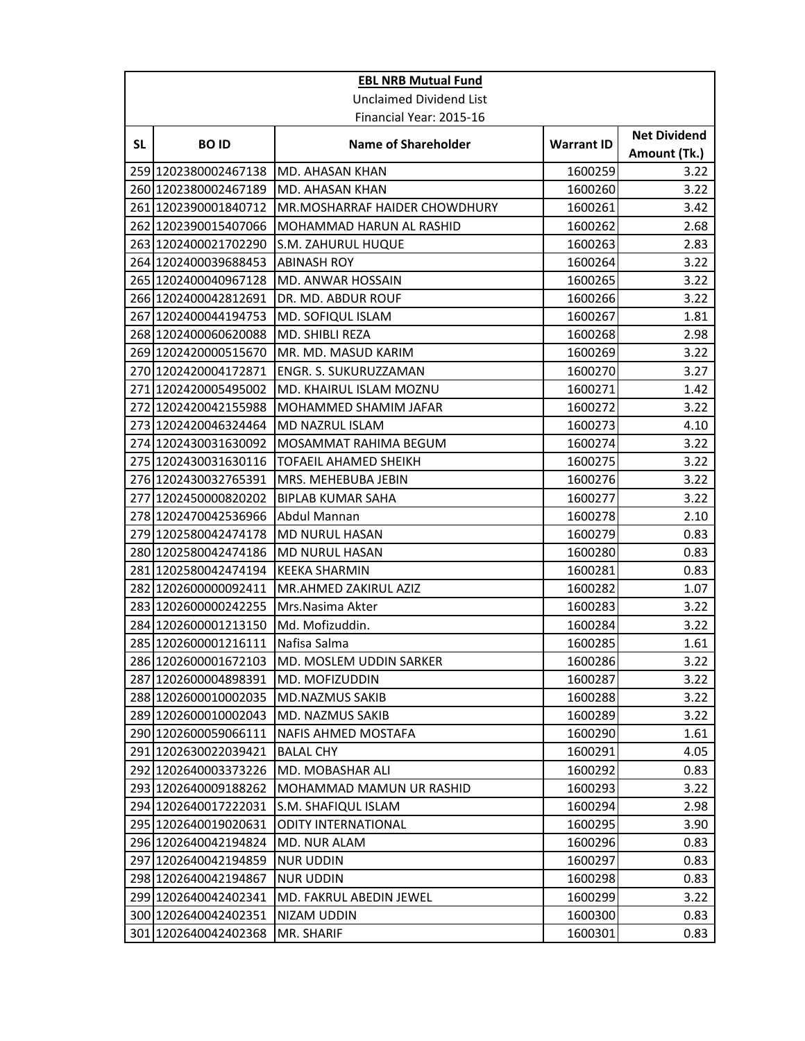|           | <b>EBL NRB Mutual Fund</b>     |                               |                   |                                     |  |
|-----------|--------------------------------|-------------------------------|-------------------|-------------------------------------|--|
|           | <b>Unclaimed Dividend List</b> |                               |                   |                                     |  |
|           | Financial Year: 2015-16        |                               |                   |                                     |  |
| <b>SL</b> | <b>BOID</b>                    | <b>Name of Shareholder</b>    | <b>Warrant ID</b> | <b>Net Dividend</b><br>Amount (Tk.) |  |
|           | 259 1202380002467138           | MD. AHASAN KHAN               | 1600259           | 3.22                                |  |
|           | 260 1202380002467189           | MD. AHASAN KHAN               | 1600260           | 3.22                                |  |
|           | 261 1202390001840712           | MR.MOSHARRAF HAIDER CHOWDHURY | 1600261           | 3.42                                |  |
|           | 262 1202390015407066           | MOHAMMAD HARUN AL RASHID      | 1600262           | 2.68                                |  |
|           | 263 1202400021702290           | S.M. ZAHURUL HUQUE            | 1600263           | 2.83                                |  |
|           | 264 1202400039688453           | <b>ABINASH ROY</b>            | 1600264           | 3.22                                |  |
|           | 265 1202400040967128           | MD. ANWAR HOSSAIN             | 1600265           | 3.22                                |  |
|           | 266 1202400042812691           | DR. MD. ABDUR ROUF            | 1600266           | 3.22                                |  |
|           | 267 1202400044194753           | MD. SOFIQUL ISLAM             | 1600267           | 1.81                                |  |
|           | 268 1202400060620088           | MD. SHIBLI REZA               | 1600268           | 2.98                                |  |
|           | 269 1202420000515670           | MR. MD. MASUD KARIM           | 1600269           | 3.22                                |  |
|           | 270 1202420004172871           | ENGR. S. SUKURUZZAMAN         | 1600270           | 3.27                                |  |
|           | 271 1202420005495002           | MD. KHAIRUL ISLAM MOZNU       | 1600271           | 1.42                                |  |
|           | 272 1202420042155988           | MOHAMMED SHAMIM JAFAR         | 1600272           | 3.22                                |  |
|           | 273 1202420046324464           | MD NAZRUL ISLAM               | 1600273           | 4.10                                |  |
|           | 274 1202430031630092           | MOSAMMAT RAHIMA BEGUM         | 1600274           | 3.22                                |  |
|           | 275 1202430031630116           | <b>TOFAEIL AHAMED SHEIKH</b>  | 1600275           | 3.22                                |  |
|           | 276 1202430032765391           | MRS. MEHEBUBA JEBIN           | 1600276           | 3.22                                |  |
|           | 277 1202450000820202           | <b>BIPLAB KUMAR SAHA</b>      | 1600277           | 3.22                                |  |
|           | 278 1202470042536966           | Abdul Mannan                  | 1600278           | 2.10                                |  |
|           | 279 1202580042474178           | MD NURUL HASAN                | 1600279           | 0.83                                |  |
|           | 280 1202580042474186           | <b>MD NURUL HASAN</b>         | 1600280           | 0.83                                |  |
|           | 281 1202580042474194           | <b>KEEKA SHARMIN</b>          | 1600281           | 0.83                                |  |
|           | 282 1202600000092411           | MR.AHMED ZAKIRUL AZIZ         | 1600282           | 1.07                                |  |
|           | 283 1202600000242255           | Mrs.Nasima Akter              | 1600283           | 3.22                                |  |
|           | 284 1202600001213150           | Md. Mofizuddin.               | 1600284           | 3.22                                |  |
|           | 285 1202600001216111           | Nafisa Salma                  | 1600285           | 1.61                                |  |
|           | 286 1202600001672103           | MD. MOSLEM UDDIN SARKER       | 1600286           | 3.22                                |  |
|           | 287 1202600004898391           | MD. MOFIZUDDIN                | 1600287           | 3.22                                |  |
|           | 288 1202600010002035           | <b>MD.NAZMUS SAKIB</b>        | 1600288           | 3.22                                |  |
|           | 289 1202600010002043           | MD. NAZMUS SAKIB              | 1600289           | 3.22                                |  |
|           | 290 1202600059066111           | NAFIS AHMED MOSTAFA           | 1600290           | 1.61                                |  |
|           | 291 1202630022039421           | <b>BALAL CHY</b>              | 1600291           | 4.05                                |  |
|           | 292 1202640003373226           | MD. MOBASHAR ALI              | 1600292           | 0.83                                |  |
|           | 293 1202640009188262           | MOHAMMAD MAMUN UR RASHID      | 1600293           | 3.22                                |  |
|           | 294 1202640017222031           | S.M. SHAFIQUL ISLAM           | 1600294           | 2.98                                |  |
|           | 295 1202640019020631           | <b>ODITY INTERNATIONAL</b>    | 1600295           | 3.90                                |  |
|           | 296 1202640042194824           | MD. NUR ALAM                  | 1600296           | 0.83                                |  |
|           | 297 1202640042194859           | <b>NUR UDDIN</b>              | 1600297           | 0.83                                |  |
|           | 298 1202640042194867           | <b>NUR UDDIN</b>              | 1600298           | 0.83                                |  |
|           | 299 1202640042402341           | MD. FAKRUL ABEDIN JEWEL       | 1600299           | 3.22                                |  |
|           | 300 1202640042402351           | NIZAM UDDIN                   | 1600300           | 0.83                                |  |
|           | 301 1202640042402368           | MR. SHARIF                    | 1600301           | 0.83                                |  |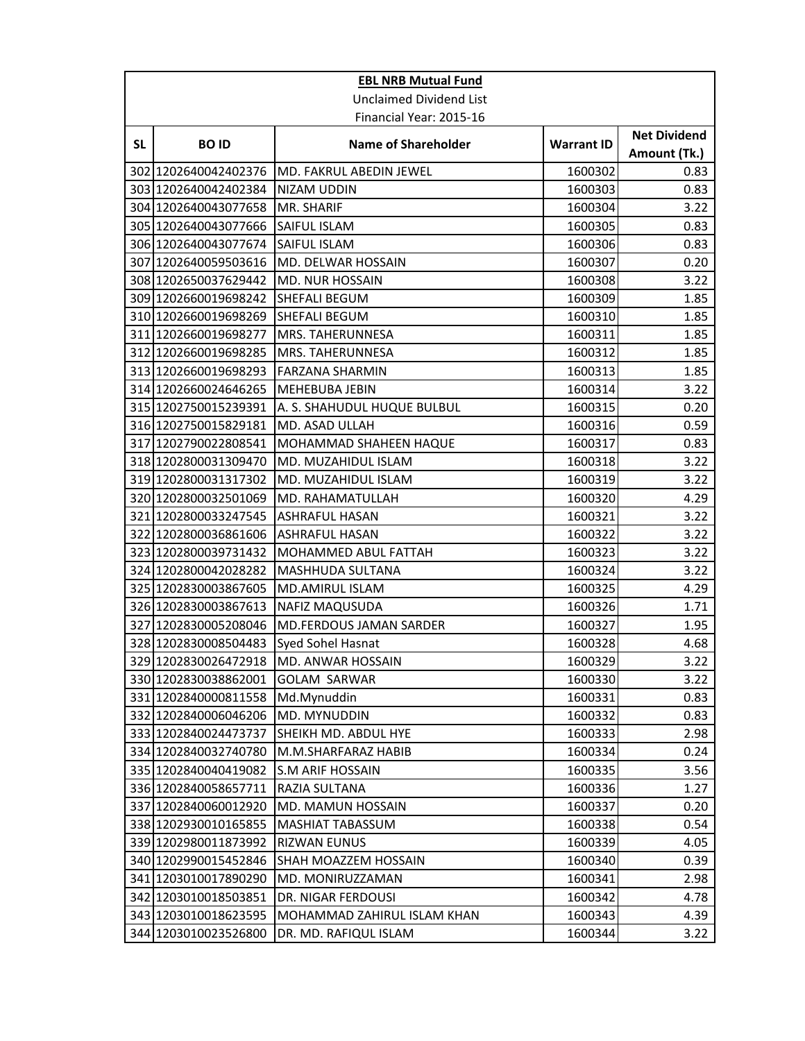|                                | <b>EBL NRB Mutual Fund</b> |                             |                   |                                     |
|--------------------------------|----------------------------|-----------------------------|-------------------|-------------------------------------|
| <b>Unclaimed Dividend List</b> |                            |                             |                   |                                     |
|                                |                            | Financial Year: 2015-16     |                   |                                     |
| <b>SL</b>                      | <b>BOID</b>                | <b>Name of Shareholder</b>  | <b>Warrant ID</b> | <b>Net Dividend</b><br>Amount (Tk.) |
|                                | 302 1202640042402376       | MD. FAKRUL ABEDIN JEWEL     | 1600302           | 0.83                                |
|                                | 303 1202640042402384       | NIZAM UDDIN                 | 1600303           | 0.83                                |
|                                | 304 1202640043077658       | MR. SHARIF                  | 1600304           | 3.22                                |
|                                | 305 1202640043077666       | SAIFUL ISLAM                | 1600305           | 0.83                                |
|                                | 306 1202640043077674       | SAIFUL ISLAM                | 1600306           | 0.83                                |
|                                | 307 1202640059503616       | MD. DELWAR HOSSAIN          | 1600307           | 0.20                                |
|                                | 308 1202650037629442       | MD. NUR HOSSAIN             | 1600308           | 3.22                                |
|                                | 309 1202660019698242       | SHEFALI BEGUM               | 1600309           | 1.85                                |
|                                | 310 1202660019698269       | SHEFALI BEGUM               | 1600310           | 1.85                                |
|                                | 311 1202660019698277       | MRS. TAHERUNNESA            | 1600311           | 1.85                                |
|                                | 312 1202660019698285       | MRS. TAHERUNNESA            | 1600312           | 1.85                                |
|                                | 313 1202660019698293       | <b>FARZANA SHARMIN</b>      | 1600313           | 1.85                                |
|                                | 314 1202660024646265       | <b>MEHEBUBA JEBIN</b>       | 1600314           | 3.22                                |
|                                | 315 1202750015239391       | A. S. SHAHUDUL HUQUE BULBUL | 1600315           | 0.20                                |
|                                | 316 1202750015829181       | MD. ASAD ULLAH              | 1600316           | 0.59                                |
|                                | 317 1202790022808541       | MOHAMMAD SHAHEEN HAQUE      | 1600317           | 0.83                                |
|                                | 318 1202800031309470       | MD. MUZAHIDUL ISLAM         | 1600318           | 3.22                                |
|                                | 319 1202800031317302       | MD. MUZAHIDUL ISLAM         | 1600319           | 3.22                                |
|                                | 320 1202800032501069       | MD. RAHAMATULLAH            | 1600320           | 4.29                                |
|                                | 321 1202800033247545       | <b>ASHRAFUL HASAN</b>       | 1600321           | 3.22                                |
|                                | 322 1202800036861606       | <b>ASHRAFUL HASAN</b>       | 1600322           | 3.22                                |
|                                | 323 1202800039731432       | MOHAMMED ABUL FATTAH        | 1600323           | 3.22                                |
|                                | 324 1202800042028282       | MASHHUDA SULTANA            | 1600324           | 3.22                                |
|                                | 325 1202830003867605       | MD.AMIRUL ISLAM             | 1600325           | 4.29                                |
|                                | 326 1202830003867613       | <b>NAFIZ MAQUSUDA</b>       | 1600326           | 1.71                                |
|                                | 327 1202830005208046       | MD.FERDOUS JAMAN SARDER     | 1600327           | 1.95                                |
|                                | 328 1202830008504483       | Syed Sohel Hasnat           | 1600328           | 4.68                                |
|                                | 329 1202830026472918       | MD. ANWAR HOSSAIN           | 1600329           | 3.22                                |
|                                | 330 1202830038862001       | <b>GOLAM SARWAR</b>         | 1600330           | 3.22                                |
|                                | 331 1202840000811558       | Md.Mynuddin                 | 1600331           | 0.83                                |
|                                | 332 1202840006046206       | MD. MYNUDDIN                | 1600332           | 0.83                                |
|                                | 333 1202840024473737       | SHEIKH MD. ABDUL HYE        | 1600333           | 2.98                                |
|                                | 334 1202840032740780       | M.M.SHARFARAZ HABIB         | 1600334           | 0.24                                |
|                                | 335 1202840040419082       | S.M ARIF HOSSAIN            | 1600335           | 3.56                                |
|                                | 336 1202840058657711       | RAZIA SULTANA               | 1600336           | 1.27                                |
|                                | 337 1202840060012920       | MD. MAMUN HOSSAIN           | 1600337           | 0.20                                |
|                                | 338 1202930010165855       | MASHIAT TABASSUM            | 1600338           | 0.54                                |
|                                | 339 1202980011873992       | <b>RIZWAN EUNUS</b>         | 1600339           | 4.05                                |
|                                | 340 1202990015452846       | SHAH MOAZZEM HOSSAIN        | 1600340           | 0.39                                |
|                                | 341 1203010017890290       | MD. MONIRUZZAMAN            | 1600341           | 2.98                                |
|                                | 342 1203010018503851       | DR. NIGAR FERDOUSI          | 1600342           | 4.78                                |
|                                | 343 1203010018623595       | MOHAMMAD ZAHIRUL ISLAM KHAN | 1600343           | 4.39                                |
|                                | 344 1203010023526800       | DR. MD. RAFIQUL ISLAM       | 1600344           | 3.22                                |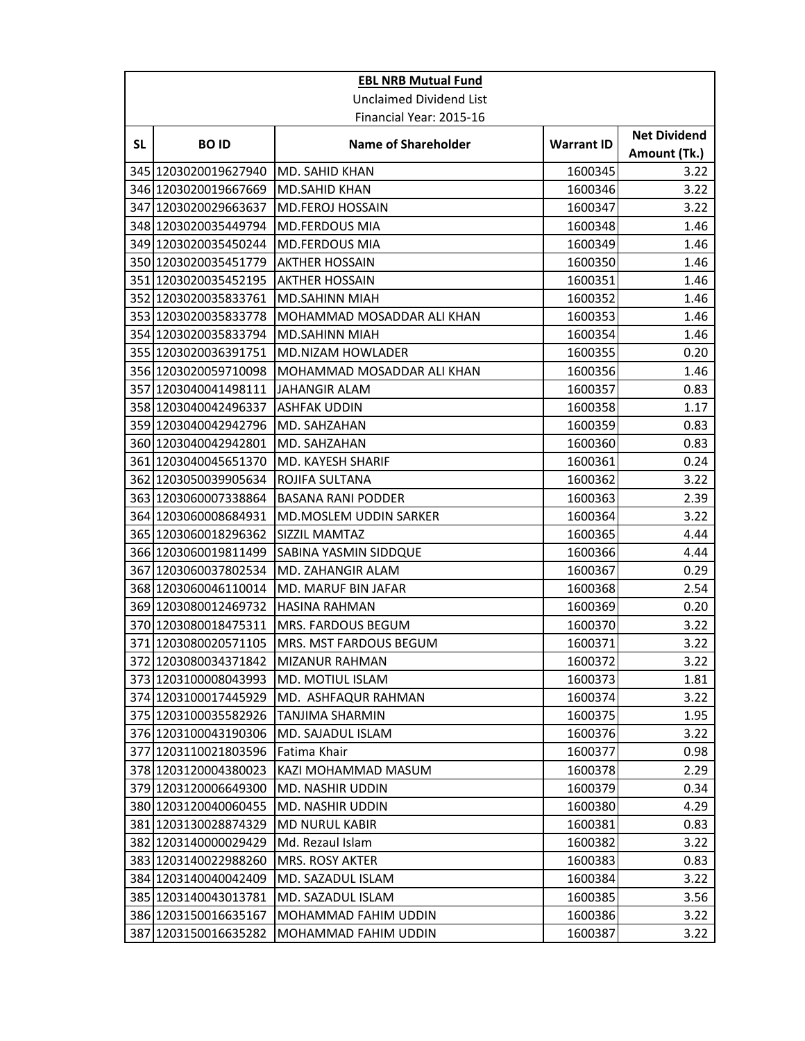|           | <b>EBL NRB Mutual Fund</b>     |                               |                   |                                     |  |
|-----------|--------------------------------|-------------------------------|-------------------|-------------------------------------|--|
|           | <b>Unclaimed Dividend List</b> |                               |                   |                                     |  |
|           | Financial Year: 2015-16        |                               |                   |                                     |  |
| <b>SL</b> | <b>BOID</b>                    | <b>Name of Shareholder</b>    | <b>Warrant ID</b> | <b>Net Dividend</b><br>Amount (Tk.) |  |
|           | 345 1203020019627940           | MD. SAHID KHAN                | 1600345           | 3.22                                |  |
|           | 346 1203020019667669           | <b>MD.SAHID KHAN</b>          | 1600346           | 3.22                                |  |
|           | 347 1203020029663637           | <b>MD.FEROJ HOSSAIN</b>       | 1600347           | 3.22                                |  |
|           | 348 1203020035449794           | <b>MD.FERDOUS MIA</b>         | 1600348           | 1.46                                |  |
|           | 349 1203020035450244           | <b>MD.FERDOUS MIA</b>         | 1600349           | 1.46                                |  |
|           | 350 1203020035451779           | <b>AKTHER HOSSAIN</b>         | 1600350           | 1.46                                |  |
|           | 351 1203020035452195           | <b>AKTHER HOSSAIN</b>         | 1600351           | 1.46                                |  |
|           | 352 1203020035833761           | <b>MD.SAHINN MIAH</b>         | 1600352           | 1.46                                |  |
|           | 353 1203020035833778           | MOHAMMAD MOSADDAR ALI KHAN    | 1600353           | 1.46                                |  |
|           | 354 1203020035833794           | <b>MD.SAHINN MIAH</b>         | 1600354           | 1.46                                |  |
|           | 355 1203020036391751           | MD.NIZAM HOWLADER             | 1600355           | 0.20                                |  |
|           | 356 1203020059710098           | MOHAMMAD MOSADDAR ALI KHAN    | 1600356           | 1.46                                |  |
|           | 357 1203040041498111           | <b>JAHANGIR ALAM</b>          | 1600357           | 0.83                                |  |
|           | 358 1203040042496337           | <b>ASHFAK UDDIN</b>           | 1600358           | 1.17                                |  |
|           | 359 1203040042942796           | MD. SAHZAHAN                  | 1600359           | 0.83                                |  |
|           | 360 1203040042942801           | MD. SAHZAHAN                  | 1600360           | 0.83                                |  |
|           | 361 1203040045651370           | MD. KAYESH SHARIF             | 1600361           | 0.24                                |  |
|           | 362 1203050039905634           | ROJIFA SULTANA                | 1600362           | 3.22                                |  |
|           | 363 1203060007338864           | <b>BASANA RANI PODDER</b>     | 1600363           | 2.39                                |  |
|           | 364 1203060008684931           | <b>MD.MOSLEM UDDIN SARKER</b> | 1600364           | 3.22                                |  |
|           | 365 1203060018296362           | SIZZIL MAMTAZ                 | 1600365           | 4.44                                |  |
|           | 366 1203060019811499           | SABINA YASMIN SIDDQUE         | 1600366           | 4.44                                |  |
|           | 367 1203060037802534           | MD. ZAHANGIR ALAM             | 1600367           | 0.29                                |  |
|           | 368 1203060046110014           | MD. MARUF BIN JAFAR           | 1600368           | 2.54                                |  |
|           | 369 1203080012469732           | <b>HASINA RAHMAN</b>          | 1600369           | 0.20                                |  |
|           | 370 1203080018475311           | MRS. FARDOUS BEGUM            | 1600370           | 3.22                                |  |
|           | 371 1203080020571105           | MRS. MST FARDOUS BEGUM        | 1600371           | 3.22                                |  |
|           | 372 1203080034371842           | MIZANUR RAHMAN                | 1600372           | 3.22                                |  |
|           | 373 1203100008043993           | MD. MOTIUL ISLAM              | 1600373           | 1.81                                |  |
|           | 374 1203100017445929           | MD. ASHFAQUR RAHMAN           | 1600374           | 3.22                                |  |
|           | 375 1203100035582926           | TANJIMA SHARMIN               | 1600375           | 1.95                                |  |
|           | 376 1203100043190306           | MD. SAJADUL ISLAM             | 1600376           | 3.22                                |  |
|           | 377 1203110021803596           | Fatima Khair                  | 1600377           | 0.98                                |  |
|           | 378 1203120004380023           | KAZI MOHAMMAD MASUM           | 1600378           | 2.29                                |  |
|           | 379 1203120006649300           | MD. NASHIR UDDIN              | 1600379           | 0.34                                |  |
|           | 380 1203120040060455           | MD. NASHIR UDDIN              | 1600380           | 4.29                                |  |
|           | 381 1203130028874329           | <b>MD NURUL KABIR</b>         | 1600381           | 0.83                                |  |
|           | 382 1203140000029429           | Md. Rezaul Islam              | 1600382           | 3.22                                |  |
|           | 383 1203140022988260           | MRS. ROSY AKTER               | 1600383           | 0.83                                |  |
|           | 384 1203140040042409           | MD. SAZADUL ISLAM             | 1600384           | 3.22                                |  |
|           | 385 1203140043013781           | MD. SAZADUL ISLAM             | 1600385           | 3.56                                |  |
|           | 386 1203150016635167           | MOHAMMAD FAHIM UDDIN          | 1600386           | 3.22                                |  |
|           | 387 1203150016635282           | MOHAMMAD FAHIM UDDIN          | 1600387           | 3.22                                |  |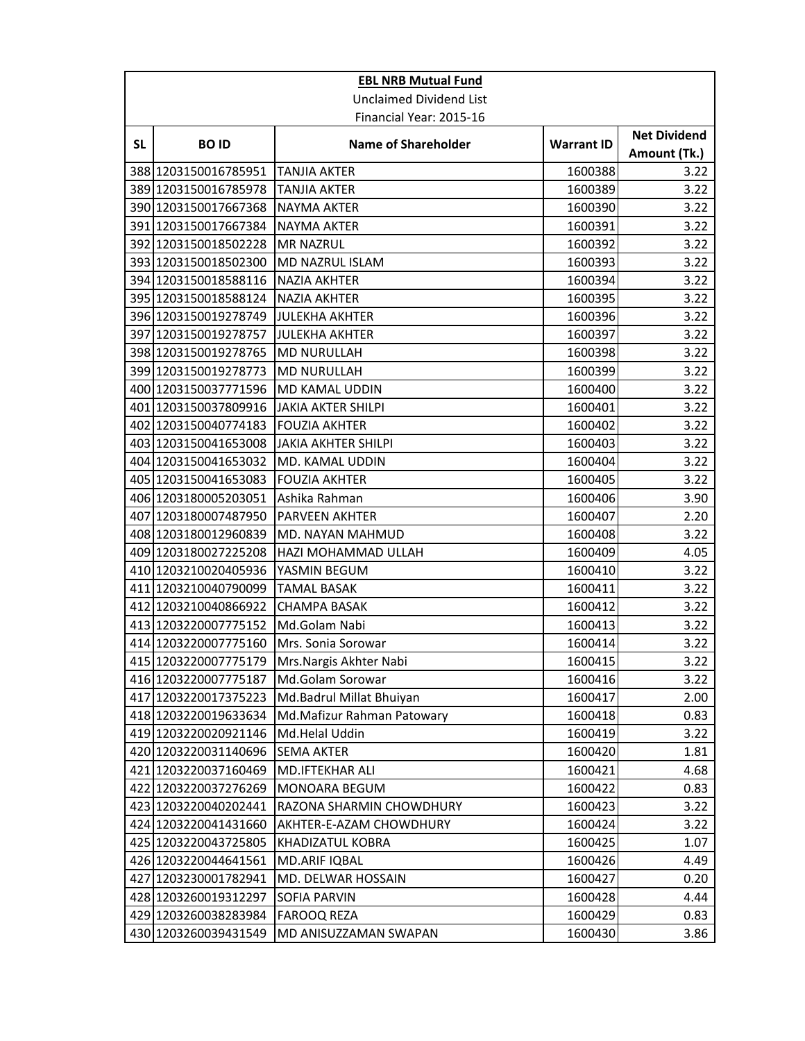| <b>EBL NRB Mutual Fund</b>     |                         |                            |                   |                                     |  |
|--------------------------------|-------------------------|----------------------------|-------------------|-------------------------------------|--|
| <b>Unclaimed Dividend List</b> |                         |                            |                   |                                     |  |
|                                | Financial Year: 2015-16 |                            |                   |                                     |  |
| <b>SL</b>                      | <b>BOID</b>             | <b>Name of Shareholder</b> | <b>Warrant ID</b> | <b>Net Dividend</b><br>Amount (Tk.) |  |
|                                | 388 1203150016785951    | TANJIA AKTER               | 1600388           | 3.22                                |  |
|                                | 389 1203150016785978    | TANJIA AKTER               | 1600389           | 3.22                                |  |
|                                | 390 1203150017667368    | <b>NAYMA AKTER</b>         | 1600390           | 3.22                                |  |
|                                | 391 1203150017667384    | <b>NAYMA AKTER</b>         | 1600391           | 3.22                                |  |
|                                | 392 1203150018502228    | <b>MR NAZRUL</b>           | 1600392           | 3.22                                |  |
|                                | 393 1203150018502300    | MD NAZRUL ISLAM            | 1600393           | 3.22                                |  |
|                                | 394 1203150018588116    | <b>NAZIA AKHTER</b>        | 1600394           | 3.22                                |  |
|                                | 395 1203150018588124    | NAZIA AKHTER               | 1600395           | 3.22                                |  |
|                                | 396 1203150019278749    | JULEKHA AKHTER             | 1600396           | 3.22                                |  |
|                                | 397 1203150019278757    | <b>JULEKHA AKHTER</b>      | 1600397           | 3.22                                |  |
|                                | 398 1203150019278765    | <b>MD NURULLAH</b>         | 1600398           | 3.22                                |  |
|                                | 399 1203150019278773    | <b>MD NURULLAH</b>         | 1600399           | 3.22                                |  |
|                                | 400 1203150037771596    | MD KAMAL UDDIN             | 1600400           | 3.22                                |  |
|                                | 401 1203150037809916    | JAKIA AKTER SHILPI         | 1600401           | 3.22                                |  |
|                                | 402 1203150040774183    | <b>FOUZIA AKHTER</b>       | 1600402           | 3.22                                |  |
|                                | 403 1203150041653008    | JAKIA AKHTER SHILPI        | 1600403           | 3.22                                |  |
|                                | 404 1203150041653032    | MD. KAMAL UDDIN            | 1600404           | 3.22                                |  |
|                                | 405 1203150041653083    | <b>FOUZIA AKHTER</b>       | 1600405           | 3.22                                |  |
|                                | 406 1203180005203051    | Ashika Rahman              | 1600406           | 3.90                                |  |
|                                | 407 1203180007487950    | <b>PARVEEN AKHTER</b>      | 1600407           | 2.20                                |  |
|                                | 408 1203180012960839    | MD. NAYAN MAHMUD           | 1600408           | 3.22                                |  |
|                                | 409 1203180027225208    | HAZI MOHAMMAD ULLAH        | 1600409           | 4.05                                |  |
|                                | 410 1203210020405936    | YASMIN BEGUM               | 1600410           | 3.22                                |  |
|                                | 411 1203210040790099    | <b>TAMAL BASAK</b>         | 1600411           | 3.22                                |  |
|                                | 412 1203210040866922    | <b>CHAMPA BASAK</b>        | 1600412           | 3.22                                |  |
|                                | 413 1203220007775152    | Md.Golam Nabi              | 1600413           | 3.22                                |  |
|                                | 414 1203220007775160    | Mrs. Sonia Sorowar         | 1600414           | 3.22                                |  |
|                                | 415 1203220007775179    | Mrs. Nargis Akhter Nabi    | 1600415           | 3.22                                |  |
|                                | 416 1203220007775187    | Md.Golam Sorowar           | 1600416           | 3.22                                |  |
|                                | 417 1203220017375223    | Md.Badrul Millat Bhuiyan   | 1600417           | 2.00                                |  |
|                                | 418 1203220019633634    | Md.Mafizur Rahman Patowary | 1600418           | 0.83                                |  |
|                                | 419 1203220020921146    | Md.Helal Uddin             | 1600419           | 3.22                                |  |
|                                | 420 1203220031140696    | <b>SEMA AKTER</b>          | 1600420           | 1.81                                |  |
|                                | 421 1203220037160469    | MD.IFTEKHAR ALI            | 1600421           | 4.68                                |  |
|                                | 422 1203220037276269    | MONOARA BEGUM              | 1600422           | 0.83                                |  |
|                                | 423 1203220040202441    | RAZONA SHARMIN CHOWDHURY   | 1600423           | 3.22                                |  |
|                                | 424 1203220041431660    | AKHTER-E-AZAM CHOWDHURY    | 1600424           | 3.22                                |  |
|                                | 425 1203220043725805    | KHADIZATUL KOBRA           | 1600425           | 1.07                                |  |
|                                | 426 1203220044641561    | MD.ARIF IQBAL              | 1600426           | 4.49                                |  |
|                                | 427 1203230001782941    | MD. DELWAR HOSSAIN         | 1600427           | 0.20                                |  |
|                                | 428 1203260019312297    | SOFIA PARVIN               | 1600428           | 4.44                                |  |
|                                | 429 1203260038283984    | <b>FAROOQ REZA</b>         | 1600429           | 0.83                                |  |
|                                | 430 1203260039431549    | MD ANISUZZAMAN SWAPAN      | 1600430           | 3.86                                |  |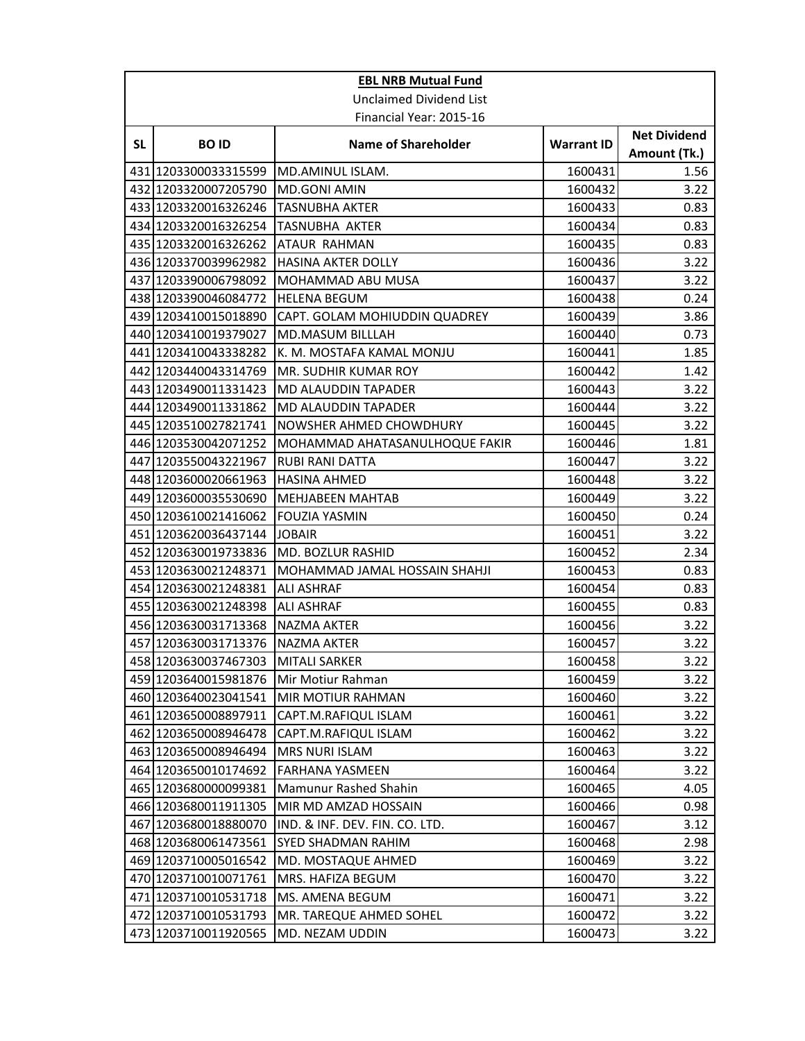|           | <b>EBL NRB Mutual Fund</b>     |                                |                   |                                     |  |
|-----------|--------------------------------|--------------------------------|-------------------|-------------------------------------|--|
|           | <b>Unclaimed Dividend List</b> |                                |                   |                                     |  |
|           |                                | Financial Year: 2015-16        |                   |                                     |  |
| <b>SL</b> | <b>BOID</b>                    | <b>Name of Shareholder</b>     | <b>Warrant ID</b> | <b>Net Dividend</b><br>Amount (Tk.) |  |
|           | 431 1203300033315599           | MD.AMINUL ISLAM.               | 1600431           | 1.56                                |  |
|           | 432 1203320007205790           | MD.GONI AMIN                   | 1600432           | 3.22                                |  |
|           | 433 1203320016326246           | <b>TASNUBHA AKTER</b>          | 1600433           | 0.83                                |  |
|           | 434 1203320016326254           | <b>TASNUBHA AKTER</b>          | 1600434           | 0.83                                |  |
|           | 435 1203320016326262           | ATAUR RAHMAN                   | 1600435           | 0.83                                |  |
|           | 436 1203370039962982           | <b>HASINA AKTER DOLLY</b>      | 1600436           | 3.22                                |  |
|           | 437 1203390006798092           | MOHAMMAD ABU MUSA              | 1600437           | 3.22                                |  |
|           | 438 1203390046084772           | <b>HELENA BEGUM</b>            | 1600438           | 0.24                                |  |
|           | 439 1203410015018890           | CAPT. GOLAM MOHIUDDIN QUADREY  | 1600439           | 3.86                                |  |
|           | 440 1203410019379027           | MD.MASUM BILLLAH               | 1600440           | 0.73                                |  |
|           | 441 1203410043338282           | K. M. MOSTAFA KAMAL MONJU      | 1600441           | 1.85                                |  |
|           | 442 1203440043314769           | MR. SUDHIR KUMAR ROY           | 1600442           | 1.42                                |  |
|           | 443 1203490011331423           | MD ALAUDDIN TAPADER            | 1600443           | 3.22                                |  |
|           | 444 1203490011331862           | MD ALAUDDIN TAPADER            | 1600444           | 3.22                                |  |
|           | 445 1203510027821741           | NOWSHER AHMED CHOWDHURY        | 1600445           | 3.22                                |  |
|           | 446 1203530042071252           | MOHAMMAD AHATASANULHOQUE FAKIR | 1600446           | 1.81                                |  |
|           | 447 1203550043221967           | <b>RUBI RANI DATTA</b>         | 1600447           | 3.22                                |  |
|           | 448 1203600020661963           | <b>HASINA AHMED</b>            | 1600448           | 3.22                                |  |
|           | 449 1203600035530690           | <b>MEHJABEEN MAHTAB</b>        | 1600449           | 3.22                                |  |
|           | 450 1203610021416062           | <b>FOUZIA YASMIN</b>           | 1600450           | 0.24                                |  |
|           | 451 1203620036437144           | <b>JOBAIR</b>                  | 1600451           | 3.22                                |  |
|           | 452 1203630019733836           | MD. BOZLUR RASHID              | 1600452           | 2.34                                |  |
|           | 453 1203630021248371           | MOHAMMAD JAMAL HOSSAIN SHAHJI  | 1600453           | 0.83                                |  |
|           | 454 1203630021248381           | <b>ALI ASHRAF</b>              | 1600454           | 0.83                                |  |
|           | 455 1203630021248398           | <b>ALI ASHRAF</b>              | 1600455           | 0.83                                |  |
|           | 456 1203630031713368           | <b>NAZMA AKTER</b>             | 1600456           | 3.22                                |  |
|           | 457 1203630031713376           | <b>NAZMA AKTER</b>             | 1600457           | 3.22                                |  |
|           | 458 1203630037467303           | <b>MITALI SARKER</b>           | 1600458           | 3.22                                |  |
|           | 459 1203640015981876           | Mir Motiur Rahman              | 1600459           | 3.22                                |  |
|           | 460 1203640023041541           | MIR MOTIUR RAHMAN              | 1600460           | 3.22                                |  |
|           | 461 1203650008897911           | CAPT.M.RAFIQUL ISLAM           | 1600461           | 3.22                                |  |
|           | 462 1203650008946478           | CAPT.M.RAFIQUL ISLAM           | 1600462           | 3.22                                |  |
|           | 463 1203650008946494           | <b>MRS NURI ISLAM</b>          | 1600463           | 3.22                                |  |
|           | 464 1203650010174692           | <b>FARHANA YASMEEN</b>         | 1600464           | 3.22                                |  |
|           | 465 1203680000099381           | Mamunur Rashed Shahin          | 1600465           | 4.05                                |  |
|           | 466 1203680011911305           | MIR MD AMZAD HOSSAIN           | 1600466           | 0.98                                |  |
|           | 467 1203680018880070           | IND. & INF. DEV. FIN. CO. LTD. | 1600467           | 3.12                                |  |
|           | 468 1203680061473561           | SYED SHADMAN RAHIM             | 1600468           | 2.98                                |  |
|           | 469 1203710005016542           | MD. MOSTAQUE AHMED             | 1600469           | 3.22                                |  |
|           | 470 1203710010071761           | MRS. HAFIZA BEGUM              | 1600470           | 3.22                                |  |
|           | 471 1203710010531718           | MS. AMENA BEGUM                | 1600471           | 3.22                                |  |
|           | 472 1203710010531793           | MR. TAREQUE AHMED SOHEL        | 1600472           | 3.22                                |  |
|           | 473 1203710011920565           | MD. NEZAM UDDIN                | 1600473           | 3.22                                |  |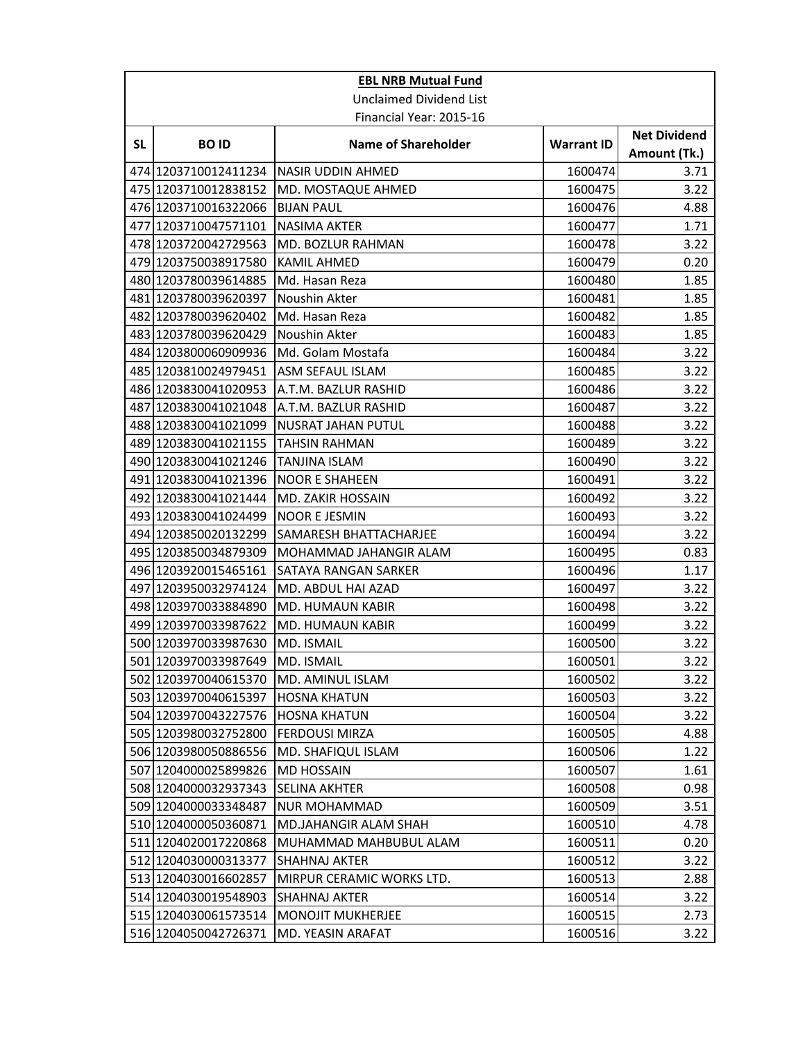|                                | <b>EBL NRB Mutual Fund</b> |                              |                   |                                     |  |
|--------------------------------|----------------------------|------------------------------|-------------------|-------------------------------------|--|
| <b>Unclaimed Dividend List</b> |                            |                              |                   |                                     |  |
|                                | Financial Year: 2015-16    |                              |                   |                                     |  |
| <b>SL</b>                      | <b>BOID</b>                | <b>Name of Shareholder</b>   | <b>Warrant ID</b> | <b>Net Dividend</b><br>Amount (Tk.) |  |
|                                | 474 1203710012411234       | <b>NASIR UDDIN AHMED</b>     | 1600474           | 3.71                                |  |
|                                | 475 1203710012838152       | MD. MOSTAQUE AHMED           | 1600475           | 3.22                                |  |
|                                | 476 1203710016322066       | <b>BIJAN PAUL</b>            | 1600476           | 4.88                                |  |
|                                | 477 1203710047571101       | <b>NASIMA AKTER</b>          | 1600477           | 1.71                                |  |
|                                | 478 1203720042729563       | MD. BOZLUR RAHMAN            | 1600478           | 3.22                                |  |
|                                | 479 1203750038917580       | KAMIL AHMED                  | 1600479           | 0.20                                |  |
|                                | 480 1203780039614885       | Md. Hasan Reza               | 1600480           | 1.85                                |  |
|                                | 481 1203780039620397       | Noushin Akter                | 1600481           | 1.85                                |  |
|                                | 482 1203780039620402       | Md. Hasan Reza               | 1600482           | 1.85                                |  |
|                                | 483 1203780039620429       | Noushin Akter                | 1600483           | 1.85                                |  |
|                                | 484 1203800060909936       | Md. Golam Mostafa            | 1600484           | 3.22                                |  |
|                                | 485 1203810024979451       | <b>ASM SEFAUL ISLAM</b>      | 1600485           | 3.22                                |  |
|                                | 486 1203830041020953       | A.T.M. BAZLUR RASHID         | 1600486           | 3.22                                |  |
|                                | 487 1203830041021048       | A.T.M. BAZLUR RASHID         | 1600487           | 3.22                                |  |
|                                | 488 1203830041021099       | <b>NUSRAT JAHAN PUTUL</b>    | 1600488           | 3.22                                |  |
|                                | 489 1203830041021155       | TAHSIN RAHMAN                | 1600489           | 3.22                                |  |
|                                | 490 1203830041021246       | TANJINA ISLAM                | 1600490           | 3.22                                |  |
|                                | 491 1203830041021396       | <b>NOOR E SHAHEEN</b>        | 1600491           | 3.22                                |  |
|                                | 492 1203830041021444       | <b>MD. ZAKIR HOSSAIN</b>     | 1600492           | 3.22                                |  |
|                                | 493 1203830041024499       | <b>NOOR E JESMIN</b>         | 1600493           | 3.22                                |  |
|                                | 494 1203850020132299       | SAMARESH BHATTACHARJEE       | 1600494           | 3.22                                |  |
|                                | 495 1203850034879309       | MOHAMMAD JAHANGIR ALAM       | 1600495           | 0.83                                |  |
|                                | 496 1203920015465161       | SATAYA RANGAN SARKER         | 1600496           | 1.17                                |  |
|                                | 497 1203950032974124       | MD. ABDUL HAI AZAD           | 1600497           | 3.22                                |  |
|                                | 498 1203970033884890       | MD. HUMAUN KABIR             | 1600498           | 3.22                                |  |
|                                | 499 1203970033987622       | <b>MD. HUMAUN KABIR</b>      | 1600499           | 3.22                                |  |
|                                | 500 1203970033987630       | MD. ISMAIL                   | 1600500           | 3.22                                |  |
|                                | 501 1203970033987649       | MD. ISMAIL                   | 1600501           | 3.22                                |  |
|                                | 502 1203970040615370       | MD. AMINUL ISLAM             | 1600502           | 3.22                                |  |
|                                | 503 1203970040615397       | <b>HOSNA KHATUN</b>          | 1600503           | 3.22                                |  |
|                                | 504 1203970043227576       | <b>HOSNA KHATUN</b>          | 1600504           | 3.22                                |  |
|                                | 505 1203980032752800       | <b>FERDOUSI MIRZA</b>        | 1600505           | 4.88                                |  |
|                                | 506 1203980050886556       | MD. SHAFIQUL ISLAM           | 1600506           | 1.22                                |  |
|                                | 507 1204000025899826       | <b>MD HOSSAIN</b>            | 1600507           | 1.61                                |  |
|                                | 508 1204000032937343       | <b>SELINA AKHTER</b>         | 1600508           | 0.98                                |  |
|                                | 509 1204000033348487       | <b>NUR MOHAMMAD</b>          | 1600509           | 3.51                                |  |
|                                | 510 1204000050360871       | <b>MD.JAHANGIR ALAM SHAH</b> | 1600510           | 4.78                                |  |
|                                | 511 1204020017220868       | MUHAMMAD MAHBUBUL ALAM       | 1600511           | 0.20                                |  |
|                                | 512 1204030000313377       | SHAHNAJ AKTER                | 1600512           | 3.22                                |  |
|                                | 513 1204030016602857       | MIRPUR CERAMIC WORKS LTD.    | 1600513           | 2.88                                |  |
|                                | 514 1204030019548903       | SHAHNAJ AKTER                | 1600514           | 3.22                                |  |
|                                | 515 1204030061573514       | <b>MONOJIT MUKHERJEE</b>     | 1600515           | 2.73                                |  |
|                                | 516 1204050042726371       | MD. YEASIN ARAFAT            | 1600516           | 3.22                                |  |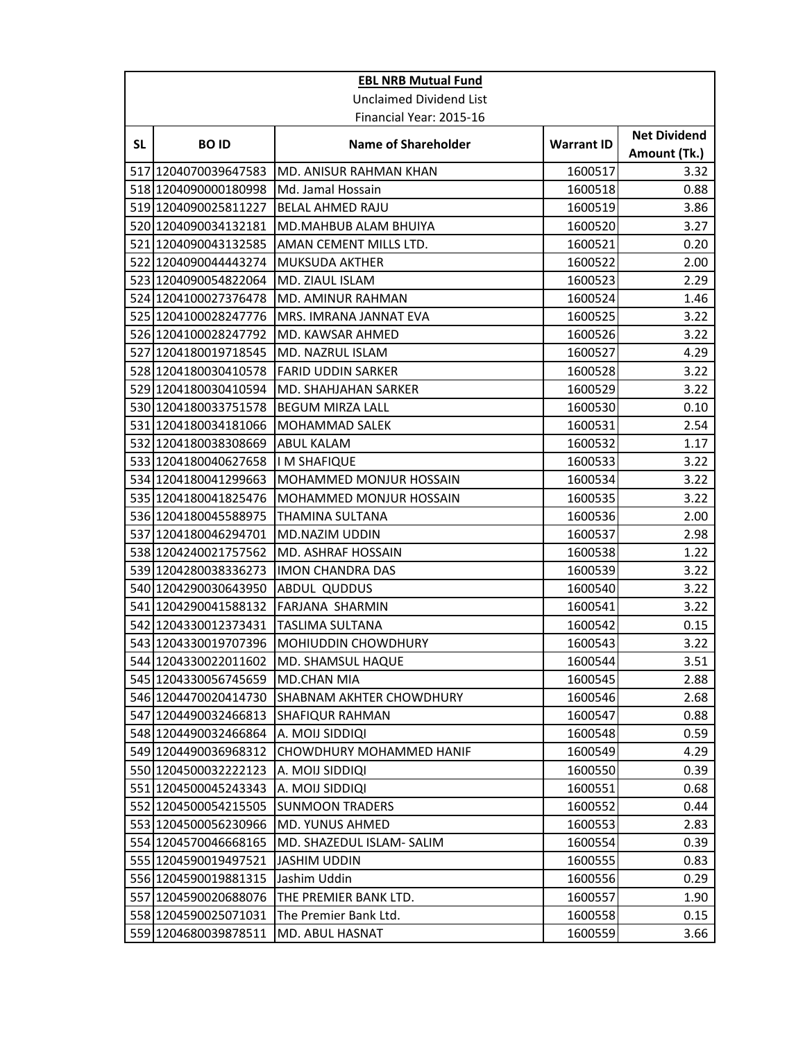| <b>EBL NRB Mutual Fund</b>     |                         |                            |                   |                                     |
|--------------------------------|-------------------------|----------------------------|-------------------|-------------------------------------|
| <b>Unclaimed Dividend List</b> |                         |                            |                   |                                     |
|                                |                         | Financial Year: 2015-16    |                   |                                     |
| <b>SL</b>                      | <b>BOID</b>             | <b>Name of Shareholder</b> | <b>Warrant ID</b> | <b>Net Dividend</b><br>Amount (Tk.) |
|                                | 517 1204070039647583    | MD. ANISUR RAHMAN KHAN     | 1600517           | 3.32                                |
|                                | 518 1204090000180998    | Md. Jamal Hossain          | 1600518           | 0.88                                |
|                                | 519 1204090025811227    | <b>BELAL AHMED RAJU</b>    | 1600519           | 3.86                                |
|                                | 520 1204090034132181    | MD.MAHBUB ALAM BHUIYA      | 1600520           | 3.27                                |
|                                | 521 1204090043132585    | AMAN CEMENT MILLS LTD.     | 1600521           | 0.20                                |
|                                | 522 1204090044443274    | <b>MUKSUDA AKTHER</b>      | 1600522           | 2.00                                |
|                                | 523 1204090054822064    | MD. ZIAUL ISLAM            | 1600523           | 2.29                                |
|                                | 524 1204100027376478    | MD. AMINUR RAHMAN          | 1600524           | 1.46                                |
|                                | 525 1204100028247776    | MRS. IMRANA JANNAT EVA     | 1600525           | 3.22                                |
|                                | 526 1204100028247792    | MD. KAWSAR AHMED           | 1600526           | 3.22                                |
|                                | 527 1204180019718545    | MD. NAZRUL ISLAM           | 1600527           | 4.29                                |
|                                | 528 1204180030410578    | <b>FARID UDDIN SARKER</b>  | 1600528           | 3.22                                |
|                                | 529 1204180030410594    | MD. SHAHJAHAN SARKER       | 1600529           | 3.22                                |
|                                | 530 1204180033751578    | <b>BEGUM MIRZA LALL</b>    | 1600530           | 0.10                                |
|                                | 531 1204180034181066    | MOHAMMAD SALEK             | 1600531           | 2.54                                |
|                                | 532 1204180038308669    | ABUL KALAM                 | 1600532           | 1.17                                |
|                                | 533 1204180040627658    | <b>IM SHAFIQUE</b>         | 1600533           | 3.22                                |
|                                | 534 1204180041299663    | MOHAMMED MONJUR HOSSAIN    | 1600534           | 3.22                                |
|                                | 535 1204180041825476    | MOHAMMED MONJUR HOSSAIN    | 1600535           | 3.22                                |
|                                | 536 1204180045588975    | THAMINA SULTANA            | 1600536           | 2.00                                |
|                                | 537 1204180046294701    | MD.NAZIM UDDIN             | 1600537           | 2.98                                |
|                                | 538 1204240021757562    | MD. ASHRAF HOSSAIN         | 1600538           | 1.22                                |
|                                | 539 1204280038336273    | <b>IMON CHANDRA DAS</b>    | 1600539           | 3.22                                |
|                                | 540 1204290030643950    | <b>ABDUL QUDDUS</b>        | 1600540           | 3.22                                |
|                                | 541 1204290041588132    | FARJANA SHARMIN            | 1600541           | 3.22                                |
|                                | 542 1204330012373431    | <b>TASLIMA SULTANA</b>     | 1600542           | 0.15                                |
|                                | 543 1204330019707396    | MOHIUDDIN CHOWDHURY        | 1600543           | 3.22                                |
|                                | 544 1204330022011602    | MD. SHAMSUL HAQUE          | 1600544           | 3.51                                |
|                                | 545 1204330056745659    | MD.CHAN MIA                | 1600545           | 2.88                                |
|                                | 546 1204470020414730    | SHABNAM AKHTER CHOWDHURY   | 1600546           | 2.68                                |
|                                | 547 1204490032466813    | <b>SHAFIQUR RAHMAN</b>     | 1600547           | 0.88                                |
|                                | 548 1204490032466864    | A. MOIJ SIDDIQI            | 1600548           | 0.59                                |
|                                | 549 1204490036968312    | CHOWDHURY MOHAMMED HANIF   | 1600549           | 4.29                                |
|                                | 550 1204500032222123    | A. MOIJ SIDDIQI            | 1600550           | 0.39                                |
|                                | 551 1204500045243343    | A. MOIJ SIDDIQI            | 1600551           | 0.68                                |
|                                | 552 1204500054215505    | <b>SUNMOON TRADERS</b>     | 1600552           | 0.44                                |
|                                | 553 1204500056230966    | MD. YUNUS AHMED            | 1600553           | 2.83                                |
|                                | 554 1204570046668165    | MD. SHAZEDUL ISLAM-SALIM   | 1600554           | 0.39                                |
|                                | 555 12045 900 1949 7521 | JASHIM UDDIN               | 1600555           | 0.83                                |
|                                | 556 1204590019881315    | Jashim Uddin               | 1600556           | 0.29                                |
|                                | 557 1204590020688076    | THE PREMIER BANK LTD.      | 1600557           | 1.90                                |
|                                | 558 1204590025071031    | The Premier Bank Ltd.      | 1600558           | 0.15                                |
|                                | 559 1204680039878511    | MD. ABUL HASNAT            | 1600559           | 3.66                                |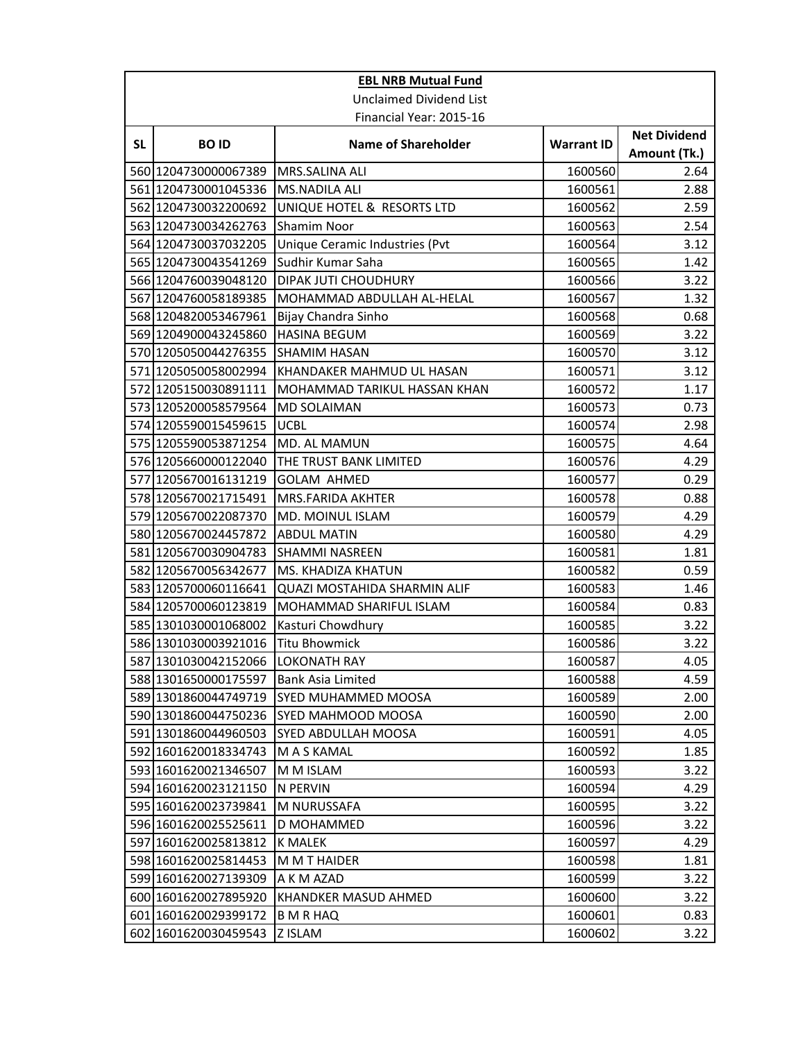| <b>EBL NRB Mutual Fund</b>     |                      |                                     |                   |                     |
|--------------------------------|----------------------|-------------------------------------|-------------------|---------------------|
| <b>Unclaimed Dividend List</b> |                      |                                     |                   |                     |
|                                |                      | Financial Year: 2015-16             |                   |                     |
| <b>SL</b>                      | <b>BOID</b>          | <b>Name of Shareholder</b>          | <b>Warrant ID</b> | <b>Net Dividend</b> |
|                                |                      |                                     |                   | Amount (Tk.)        |
|                                | 560 1204730000067389 | MRS.SALINA ALI                      | 1600560           | 2.64                |
|                                | 561 1204730001045336 | <b>MS.NADILA ALI</b>                | 1600561           | 2.88                |
|                                | 562 1204730032200692 | UNIQUE HOTEL & RESORTS LTD          | 1600562           | 2.59                |
|                                | 563 1204730034262763 | <b>Shamim Noor</b>                  | 1600563           | 2.54                |
|                                | 564 1204730037032205 | Unique Ceramic Industries (Pvt      | 1600564           | 3.12                |
|                                | 565 1204730043541269 | Sudhir Kumar Saha                   | 1600565           | 1.42                |
|                                | 566 1204760039048120 | <b>DIPAK JUTI CHOUDHURY</b>         | 1600566           | 3.22                |
|                                | 567 1204760058189385 | MOHAMMAD ABDULLAH AL-HELAL          | 1600567           | 1.32                |
|                                | 568 1204820053467961 | Bijay Chandra Sinho                 | 1600568           | 0.68                |
|                                | 569 1204900043245860 | <b>HASINA BEGUM</b>                 | 1600569           | 3.22                |
|                                | 570 1205050044276355 | <b>SHAMIM HASAN</b>                 | 1600570           | 3.12                |
|                                | 571 1205050058002994 | KHANDAKER MAHMUD UL HASAN           | 1600571           | 3.12                |
|                                | 572 1205150030891111 | <b>MOHAMMAD TARIKUL HASSAN KHAN</b> | 1600572           | 1.17                |
|                                | 573 1205200058579564 | <b>MD SOLAIMAN</b>                  | 1600573           | 0.73                |
|                                | 574 1205590015459615 | <b>UCBL</b>                         | 1600574           | 2.98                |
|                                | 575 1205590053871254 | MD. AL MAMUN                        | 1600575           | 4.64                |
|                                | 576 1205660000122040 | THE TRUST BANK LIMITED              | 1600576           | 4.29                |
|                                | 577 1205670016131219 | <b>GOLAM AHMED</b>                  | 1600577           | 0.29                |
|                                | 578 1205670021715491 | <b>MRS.FARIDA AKHTER</b>            | 1600578           | 0.88                |
|                                | 579 1205670022087370 | MD. MOINUL ISLAM                    | 1600579           | 4.29                |
|                                | 580 1205670024457872 | <b>ABDUL MATIN</b>                  | 1600580           | 4.29                |
|                                | 581 1205670030904783 | <b>SHAMMI NASREEN</b>               | 1600581           | 1.81                |
|                                | 582 1205670056342677 | <b>MS. KHADIZA KHATUN</b>           | 1600582           | 0.59                |
|                                | 583 1205700060116641 | QUAZI MOSTAHIDA SHARMIN ALIF        | 1600583           | 1.46                |
|                                | 584 1205700060123819 | MOHAMMAD SHARIFUL ISLAM             | 1600584           | 0.83                |
|                                | 585 1301030001068002 | Kasturi Chowdhury                   | 1600585           | 3.22                |
|                                | 586 1301030003921016 | <b>Titu Bhowmick</b>                | 1600586           | 3.22                |
|                                | 587 1301030042152066 | <b>LOKONATH RAY</b>                 | 1600587           | 4.05                |
|                                | 588 1301650000175597 | Bank Asia Limited                   | 1600588           | 4.59                |
|                                | 589 1301860044749719 | <b>SYED MUHAMMED MOOSA</b>          | 1600589           | 2.00                |
|                                | 590 1301860044750236 | SYED MAHMOOD MOOSA                  | 1600590           | 2.00                |
|                                | 591 1301860044960503 | SYED ABDULLAH MOOSA                 | 1600591           | 4.05                |
|                                | 592 1601620018334743 | <b>MASKAMAL</b>                     | 1600592           | 1.85                |
|                                | 593 1601620021346507 | M M ISLAM                           | 1600593           | 3.22                |
|                                | 594 1601620023121150 | N PERVIN                            | 1600594           | 4.29                |
|                                | 595 1601620023739841 | <b>M NURUSSAFA</b>                  | 1600595           | 3.22                |
|                                | 596 1601620025525611 | D MOHAMMED                          | 1600596           | 3.22                |
|                                | 597 1601620025813812 | <b>K MALEK</b>                      | 1600597           | 4.29                |
|                                | 598 1601620025814453 | M M T HAIDER                        | 1600598           | 1.81                |
|                                | 599 1601620027139309 | A K M AZAD                          | 1600599           | 3.22                |
|                                | 600 1601620027895920 | <b>KHANDKER MASUD AHMED</b>         | 1600600           | 3.22                |
|                                | 601 1601620029399172 | <b>B M R HAQ</b>                    | 1600601           | 0.83                |
|                                | 602 1601620030459543 | <b>Z ISLAM</b>                      | 1600602           | 3.22                |
|                                |                      |                                     |                   |                     |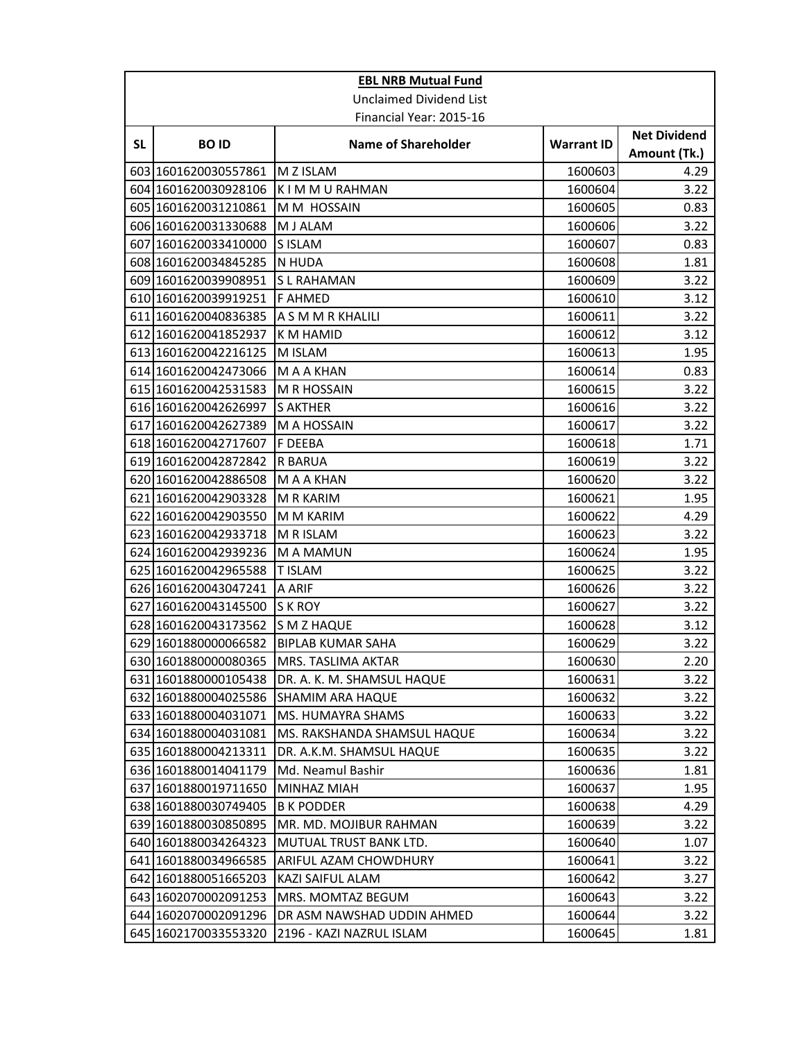| <b>EBL NRB Mutual Fund</b>     |                      |                             |                   |                                     |
|--------------------------------|----------------------|-----------------------------|-------------------|-------------------------------------|
| <b>Unclaimed Dividend List</b> |                      |                             |                   |                                     |
|                                |                      | Financial Year: 2015-16     |                   |                                     |
| <b>SL</b>                      | <b>BOID</b>          | <b>Name of Shareholder</b>  | <b>Warrant ID</b> | <b>Net Dividend</b><br>Amount (Tk.) |
|                                | 603 1601620030557861 | M Z ISLAM                   | 1600603           | 4.29                                |
|                                | 604 1601620030928106 | K I M M U RAHMAN            | 1600604           | 3.22                                |
|                                | 605 1601620031210861 | M M HOSSAIN                 | 1600605           | 0.83                                |
|                                | 606 1601620031330688 | M J ALAM                    | 1600606           | 3.22                                |
|                                | 607 1601620033410000 | S ISLAM                     | 1600607           | 0.83                                |
|                                | 608 1601620034845285 | N HUDA                      | 1600608           | 1.81                                |
|                                | 609 1601620039908951 | <b>SL RAHAMAN</b>           | 1600609           | 3.22                                |
|                                | 610 1601620039919251 | <b>F AHMED</b>              | 1600610           | 3.12                                |
|                                | 611 1601620040836385 | A S M M R KHALILI           | 1600611           | 3.22                                |
|                                | 612 1601620041852937 | <b>KM HAMID</b>             | 1600612           | 3.12                                |
|                                | 613 1601620042216125 | M ISLAM                     | 1600613           | 1.95                                |
|                                | 614 1601620042473066 | M A A KHAN                  | 1600614           | 0.83                                |
|                                | 615 1601620042531583 | M R HOSSAIN                 | 1600615           | 3.22                                |
|                                | 616 1601620042626997 | <b>S AKTHER</b>             | 1600616           | 3.22                                |
|                                | 617 1601620042627389 | M A HOSSAIN                 | 1600617           | 3.22                                |
|                                | 618 1601620042717607 | F DEEBA                     | 1600618           | 1.71                                |
|                                | 619 1601620042872842 | <b>R BARUA</b>              | 1600619           | 3.22                                |
|                                | 620 1601620042886508 | M A A KHAN                  | 1600620           | 3.22                                |
|                                | 621 1601620042903328 | M R KARIM                   | 1600621           | 1.95                                |
|                                | 622 1601620042903550 | M M KARIM                   | 1600622           | 4.29                                |
|                                | 623 1601620042933718 | M R ISLAM                   | 1600623           | 3.22                                |
|                                | 624 1601620042939236 | M A MAMUN                   | 1600624           | 1.95                                |
|                                | 625 1601620042965588 | <b>T ISLAM</b>              | 1600625           | 3.22                                |
|                                | 626 1601620043047241 | A ARIF                      | 1600626           | 3.22                                |
|                                | 627 1601620043145500 | S K ROY                     | 1600627           | 3.22                                |
|                                | 628 1601620043173562 | S M Z HAQUE                 | 1600628           | 3.12                                |
|                                | 629 1601880000066582 | <b>BIPLAB KUMAR SAHA</b>    | 1600629           | 3.22                                |
|                                | 630 1601880000080365 | MRS. TASLIMA AKTAR          | 1600630           | 2.20                                |
|                                | 631 1601880000105438 | DR. A. K. M. SHAMSUL HAQUE  | 1600631           | 3.22                                |
|                                | 632 1601880004025586 | SHAMIM ARA HAQUE            | 1600632           | 3.22                                |
|                                | 633 1601880004031071 | MS. HUMAYRA SHAMS           | 1600633           | 3.22                                |
|                                | 634 1601880004031081 | MS. RAKSHANDA SHAMSUL HAQUE | 1600634           | 3.22                                |
|                                | 635 1601880004213311 | DR. A.K.M. SHAMSUL HAQUE    | 1600635           | 3.22                                |
|                                | 636 1601880014041179 | Md. Neamul Bashir           | 1600636           | 1.81                                |
|                                | 637 1601880019711650 | MINHAZ MIAH                 | 1600637           | 1.95                                |
|                                | 638 1601880030749405 | <b>B K PODDER</b>           | 1600638           | 4.29                                |
|                                | 639 1601880030850895 | MR. MD. MOJIBUR RAHMAN      | 1600639           | 3.22                                |
|                                | 640 1601880034264323 | MUTUAL TRUST BANK LTD.      | 1600640           | 1.07                                |
|                                | 641 1601880034966585 | ARIFUL AZAM CHOWDHURY       | 1600641           | 3.22                                |
|                                | 642 1601880051665203 | KAZI SAIFUL ALAM            | 1600642           | 3.27                                |
|                                | 643 1602070002091253 | MRS. MOMTAZ BEGUM           | 1600643           | 3.22                                |
|                                | 644 1602070002091296 | DR ASM NAWSHAD UDDIN AHMED  | 1600644           | 3.22                                |
|                                | 645 1602170033553320 | 2196 - KAZI NAZRUL ISLAM    | 1600645           | 1.81                                |